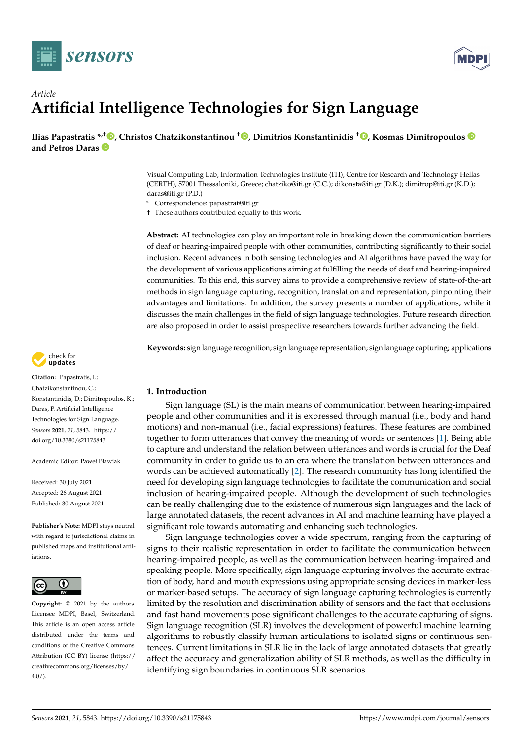



# *Article* **Artificial Intelligence Technologies for Sign Language**

**Ilias Papastratis [\\*](https://orcid.org/0000-0003-3814-6710),† [,](https://orcid.org/0000-0003-4664-2626) Christos Chatzikonstantinou † [,](https://orcid.org/0000-0002-4936-1363) Dimitrios Konstantinidis † [,](https://orcid.org/0000-0002-7391-6875) Kosmas Dimitropoulos and Petros Daras**

> Visual Computing Lab, Information Technologies Institute (ITI), Centre for Research and Technology Hellas (CERTH), 57001 Thessaloniki, Greece; chatziko@iti.gr (C.C.); dikonsta@iti.gr (D.K.); dimitrop@iti.gr (K.D.); daras@iti.gr (P.D.)

**\*** Correspondence: papastrat@iti.gr

† These authors contributed equally to this work.

**Abstract:** AI technologies can play an important role in breaking down the communication barriers of deaf or hearing-impaired people with other communities, contributing significantly to their social inclusion. Recent advances in both sensing technologies and AI algorithms have paved the way for the development of various applications aiming at fulfilling the needs of deaf and hearing-impaired communities. To this end, this survey aims to provide a comprehensive review of state-of-the-art methods in sign language capturing, recognition, translation and representation, pinpointing their advantages and limitations. In addition, the survey presents a number of applications, while it discusses the main challenges in the field of sign language technologies. Future research direction are also proposed in order to assist prospective researchers towards further advancing the field.

**Keywords:** sign language recognition; sign language representation; sign language capturing; applications

# **1. Introduction**

Sign language (SL) is the main means of communication between hearing-impaired people and other communities and it is expressed through manual (i.e., body and hand motions) and non-manual (i.e., facial expressions) features. These features are combined together to form utterances that convey the meaning of words or sentences [\[1\]](#page-19-0). Being able to capture and understand the relation between utterances and words is crucial for the Deaf community in order to guide us to an era where the translation between utterances and words can be achieved automatically [\[2\]](#page-19-1). The research community has long identified the need for developing sign language technologies to facilitate the communication and social inclusion of hearing-impaired people. Although the development of such technologies can be really challenging due to the existence of numerous sign languages and the lack of large annotated datasets, the recent advances in AI and machine learning have played a significant role towards automating and enhancing such technologies.

Sign language technologies cover a wide spectrum, ranging from the capturing of signs to their realistic representation in order to facilitate the communication between hearing-impaired people, as well as the communication between hearing-impaired and speaking people. More specifically, sign language capturing involves the accurate extraction of body, hand and mouth expressions using appropriate sensing devices in marker-less or marker-based setups. The accuracy of sign language capturing technologies is currently limited by the resolution and discrimination ability of sensors and the fact that occlusions and fast hand movements pose significant challenges to the accurate capturing of signs. Sign language recognition (SLR) involves the development of powerful machine learning algorithms to robustly classify human articulations to isolated signs or continuous sentences. Current limitations in SLR lie in the lack of large annotated datasets that greatly affect the accuracy and generalization ability of SLR methods, as well as the difficulty in identifying sign boundaries in continuous SLR scenarios.



**Citation:** Papastratis, I.; Chatzikonstantinou, C.; Konstantinidis, D.; Dimitropoulos, K.; Daras, P. Artificial Intelligence Technologies for Sign Language. *Sensors* **2021**, *21*, 5843. [https://](https://doi.org/10.3390/s21175843) [doi.org/10.3390/s21175843](https://doi.org/10.3390/s21175843)

Academic Editor: Paweł Pławiak

Received: 30 July 2021 Accepted: 26 August 2021 Published: 30 August 2021

**Publisher's Note:** MDPI stays neutral with regard to jurisdictional claims in published maps and institutional affiliations.



**Copyright:** © 2021 by the authors. Licensee MDPI, Basel, Switzerland. This article is an open access article distributed under the terms and conditions of the Creative Commons Attribution (CC BY) license (https:/[/](https://creativecommons.org/licenses/by/4.0/) [creativecommons.org/licenses/by/](https://creativecommons.org/licenses/by/4.0/)  $4.0/$ ).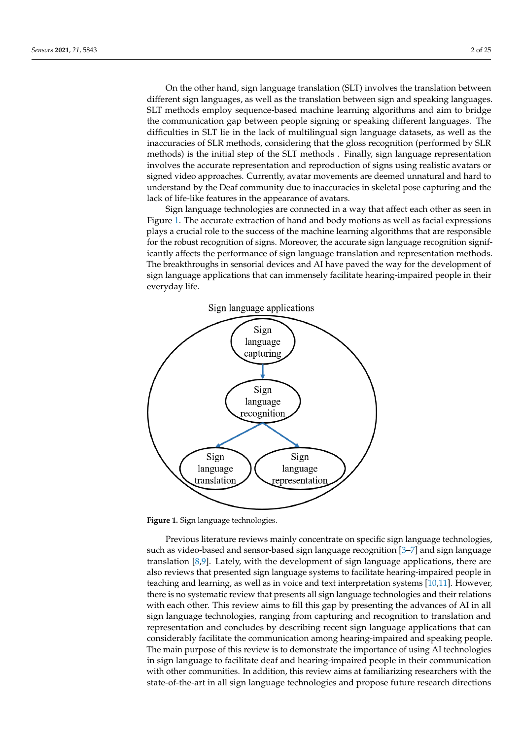On the other hand, sign language translation (SLT) involves the translation between different sign languages, as well as the translation between sign and speaking languages. SLT methods employ sequence-based machine learning algorithms and aim to bridge the communication gap between people signing or speaking different languages. The difficulties in SLT lie in the lack of multilingual sign language datasets, as well as the inaccuracies of SLR methods, considering that the gloss recognition (performed by SLR methods) is the initial step of the SLT methods . Finally, sign language representation involves the accurate representation and reproduction of signs using realistic avatars or signed video approaches. Currently, avatar movements are deemed unnatural and hard to understand by the Deaf community due to inaccuracies in skeletal pose capturing and the lack of life-like features in the appearance of avatars.

Sign language technologies are connected in a way that affect each other as seen in Figure [1.](#page-1-0) The accurate extraction of hand and body motions as well as facial expressions plays a crucial role to the success of the machine learning algorithms that are responsible for the robust recognition of signs. Moreover, the accurate sign language recognition significantly affects the performance of sign language translation and representation methods. The breakthroughs in sensorial devices and AI have paved the way for the development of sign language applications that can immensely facilitate hearing-impaired people in their everyday life.

<span id="page-1-0"></span>

**Figure 1.** Sign language technologies.

Previous literature reviews mainly concentrate on specific sign language technologies, such as video-based and sensor-based sign language recognition [\[3](#page-19-2)[–7\]](#page-19-3) and sign language translation [\[8,](#page-19-4)[9\]](#page-19-5). Lately, with the development of sign language applications, there are also reviews that presented sign language systems to facilitate hearing-impaired people in teaching and learning, as well as in voice and text interpretation systems [\[10,](#page-19-6)[11\]](#page-19-7). However, there is no systematic review that presents all sign language technologies and their relations with each other. This review aims to fill this gap by presenting the advances of AI in all sign language technologies, ranging from capturing and recognition to translation and representation and concludes by describing recent sign language applications that can considerably facilitate the communication among hearing-impaired and speaking people. The main purpose of this review is to demonstrate the importance of using AI technologies in sign language to facilitate deaf and hearing-impaired people in their communication with other communities. In addition, this review aims at familiarizing researchers with the state-of-the-art in all sign language technologies and propose future research directions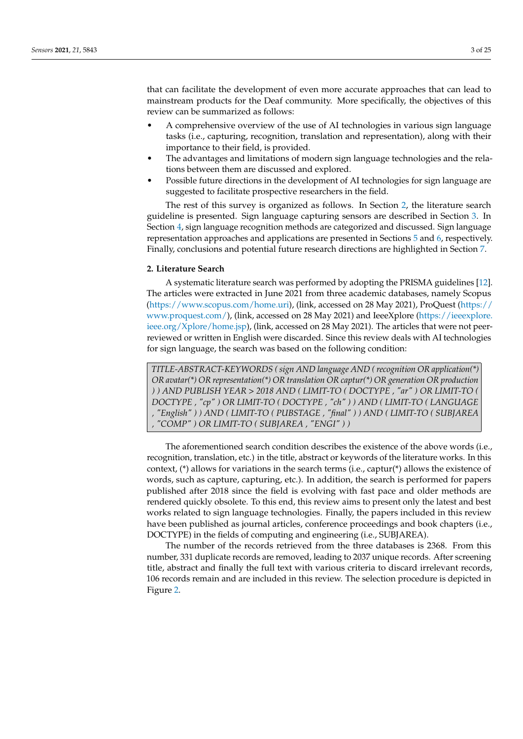that can facilitate the development of even more accurate approaches that can lead to mainstream products for the Deaf community. More specifically, the objectives of this review can be summarized as follows:

- A comprehensive overview of the use of AI technologies in various sign language tasks (i.e., capturing, recognition, translation and representation), along with their importance to their field, is provided.
- The advantages and limitations of modern sign language technologies and the relations between them are discussed and explored.
- Possible future directions in the development of AI technologies for sign language are suggested to facilitate prospective researchers in the field.

The rest of this survey is organized as follows. In Section [2,](#page-2-0) the literature search guideline is presented. Sign language capturing sensors are described in Section [3.](#page-3-0) In Section [4,](#page-6-0) sign language recognition methods are categorized and discussed. Sign language representation approaches and applications are presented in Sections [5](#page-13-0) and [6,](#page-15-0) respectively. Finally, conclusions and potential future research directions are highlighted in Section [7.](#page-16-0)

# <span id="page-2-0"></span>**2. Literature Search**

A systematic literature search was performed by adopting the PRISMA guidelines [\[12\]](#page-19-8). The articles were extracted in June 2021 from three academic databases, namely Scopus [\(https://www.scopus.com/home.uri\)](https://www.scopus.com/home.uri), (link, accessed on 28 May 2021), ProQuest [\(https://](https://www.proquest.com/) [www.proquest.com/\)](https://www.proquest.com/), (link, accessed on 28 May 2021) and IeeeXplore [\(https://ieeexplore.](https://ieeexplore.ieee.org/Xplore/home.jsp) [ieee.org/Xplore/home.jsp\)](https://ieeexplore.ieee.org/Xplore/home.jsp), (link, accessed on 28 May 2021). The articles that were not peerreviewed or written in English were discarded. Since this review deals with AI technologies for sign language, the search was based on the following condition:

*TITLE-ABSTRACT-KEYWORDS ( sign AND language AND ( recognition OR application(\*) OR avatar(\*) OR representation(\*) OR translation OR captur(\*) OR generation OR production ) ) AND PUBLISH YEAR > 2018 AND ( LIMIT-TO ( DOCTYPE , "ar" ) OR LIMIT-TO ( DOCTYPE , "cp" ) OR LIMIT-TO ( DOCTYPE , "ch" ) ) AND ( LIMIT-TO ( LANGUAGE , "English" ) ) AND ( LIMIT-TO ( PUBSTAGE , "final" ) ) AND ( LIMIT-TO ( SUBJAREA , "COMP" ) OR LIMIT-TO ( SUBJAREA , "ENGI" ) )*

The aforementioned search condition describes the existence of the above words (i.e., recognition, translation, etc.) in the title, abstract or keywords of the literature works. In this context, (\*) allows for variations in the search terms (i.e., captur(\*) allows the existence of words, such as capture, capturing, etc.). In addition, the search is performed for papers published after 2018 since the field is evolving with fast pace and older methods are rendered quickly obsolete. To this end, this review aims to present only the latest and best works related to sign language technologies. Finally, the papers included in this review have been published as journal articles, conference proceedings and book chapters (i.e., DOCTYPE) in the fields of computing and engineering (i.e., SUBJAREA).

The number of the records retrieved from the three databases is 2368. From this number, 331 duplicate records are removed, leading to 2037 unique records. After screening title, abstract and finally the full text with various criteria to discard irrelevant records, 106 records remain and are included in this review. The selection procedure is depicted in Figure [2.](#page-3-1)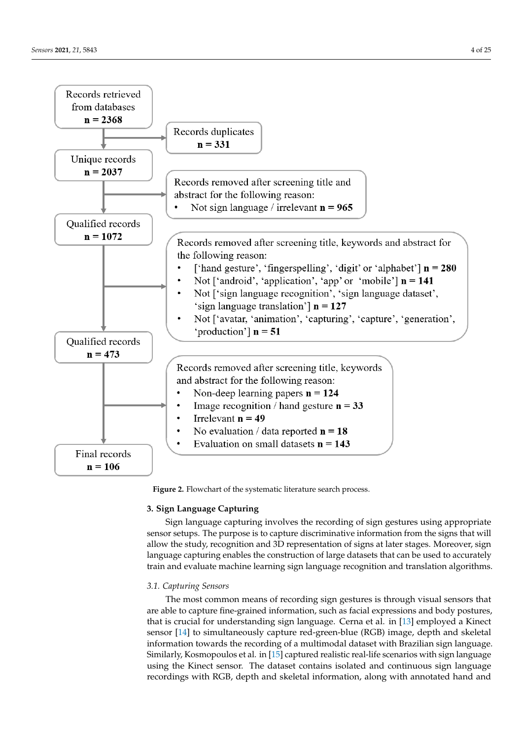<span id="page-3-1"></span>

**Figure 2.** Flowchart of the systematic literature search process.

## <span id="page-3-0"></span>**3. Sign Language Capturing**

Sign language capturing involves the recording of sign gestures using appropriate sensor setups. The purpose is to capture discriminative information from the signs that will allow the study, recognition and 3D representation of signs at later stages. Moreover, sign language capturing enables the construction of large datasets that can be used to accurately train and evaluate machine learning sign language recognition and translation algorithms.

# *3.1. Capturing Sensors*

The most common means of recording sign gestures is through visual sensors that are able to capture fine-grained information, such as facial expressions and body postures, that is crucial for understanding sign language. Cerna et al. in [\[13\]](#page-19-9) employed a Kinect sensor [\[14\]](#page-19-10) to simultaneously capture red-green-blue (RGB) image, depth and skeletal information towards the recording of a multimodal dataset with Brazilian sign language. Similarly, Kosmopoulos et al. in [\[15\]](#page-19-11) captured realistic real-life scenarios with sign language using the Kinect sensor. The dataset contains isolated and continuous sign language recordings with RGB, depth and skeletal information, along with annotated hand and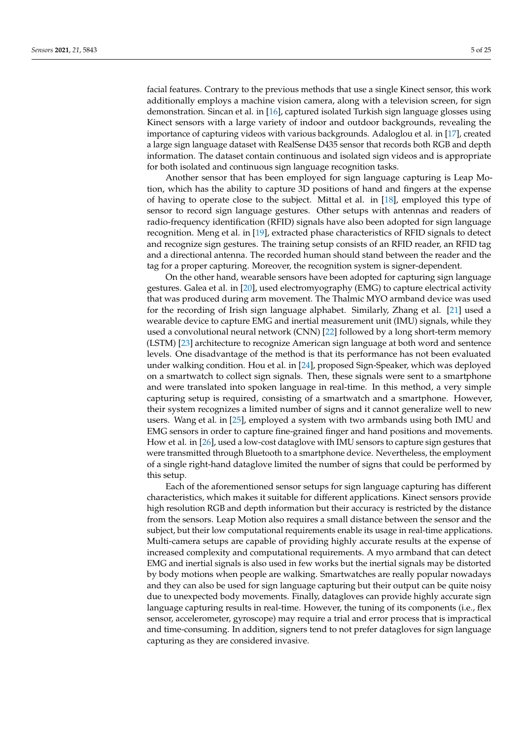facial features. Contrary to the previous methods that use a single Kinect sensor, this work additionally employs a machine vision camera, along with a television screen, for sign demonstration. Sincan et al. in [\[16\]](#page-19-12), captured isolated Turkish sign language glosses using Kinect sensors with a large variety of indoor and outdoor backgrounds, revealing the importance of capturing videos with various backgrounds. Adaloglou et al. in [\[17\]](#page-19-13), created a large sign language dataset with RealSense D435 sensor that records both RGB and depth information. The dataset contain continuous and isolated sign videos and is appropriate for both isolated and continuous sign language recognition tasks.

Another sensor that has been employed for sign language capturing is Leap Motion, which has the ability to capture 3D positions of hand and fingers at the expense of having to operate close to the subject. Mittal et al. in [\[18\]](#page-19-14), employed this type of sensor to record sign language gestures. Other setups with antennas and readers of radio-frequency identification (RFID) signals have also been adopted for sign language recognition. Meng et al. in [\[19\]](#page-19-15), extracted phase characteristics of RFID signals to detect and recognize sign gestures. The training setup consists of an RFID reader, an RFID tag and a directional antenna. The recorded human should stand between the reader and the tag for a proper capturing. Moreover, the recognition system is signer-dependent.

On the other hand, wearable sensors have been adopted for capturing sign language gestures. Galea et al. in [\[20\]](#page-19-16), used electromyography (EMG) to capture electrical activity that was produced during arm movement. The Thalmic MYO armband device was used for the recording of Irish sign language alphabet. Similarly, Zhang et al. [\[21\]](#page-19-17) used a wearable device to capture EMG and inertial measurement unit (IMU) signals, while they used a convolutional neural network (CNN) [\[22\]](#page-19-18) followed by a long short-term memory (LSTM) [\[23\]](#page-19-19) architecture to recognize American sign language at both word and sentence levels. One disadvantage of the method is that its performance has not been evaluated under walking condition. Hou et al. in [\[24\]](#page-20-0), proposed Sign-Speaker, which was deployed on a smartwatch to collect sign signals. Then, these signals were sent to a smartphone and were translated into spoken language in real-time. In this method, a very simple capturing setup is required, consisting of a smartwatch and a smartphone. However, their system recognizes a limited number of signs and it cannot generalize well to new users. Wang et al. in [\[25\]](#page-20-1), employed a system with two armbands using both IMU and EMG sensors in order to capture fine-grained finger and hand positions and movements. How et al. in [\[26\]](#page-20-2), used a low-cost dataglove with IMU sensors to capture sign gestures that were transmitted through Bluetooth to a smartphone device. Nevertheless, the employment of a single right-hand dataglove limited the number of signs that could be performed by this setup.

Each of the aforementioned sensor setups for sign language capturing has different characteristics, which makes it suitable for different applications. Kinect sensors provide high resolution RGB and depth information but their accuracy is restricted by the distance from the sensors. Leap Motion also requires a small distance between the sensor and the subject, but their low computational requirements enable its usage in real-time applications. Multi-camera setups are capable of providing highly accurate results at the expense of increased complexity and computational requirements. A myo armband that can detect EMG and inertial signals is also used in few works but the inertial signals may be distorted by body motions when people are walking. Smartwatches are really popular nowadays and they can also be used for sign language capturing but their output can be quite noisy due to unexpected body movements. Finally, datagloves can provide highly accurate sign language capturing results in real-time. However, the tuning of its components (i.e., flex sensor, accelerometer, gyroscope) may require a trial and error process that is impractical and time-consuming. In addition, signers tend to not prefer datagloves for sign language capturing as they are considered invasive.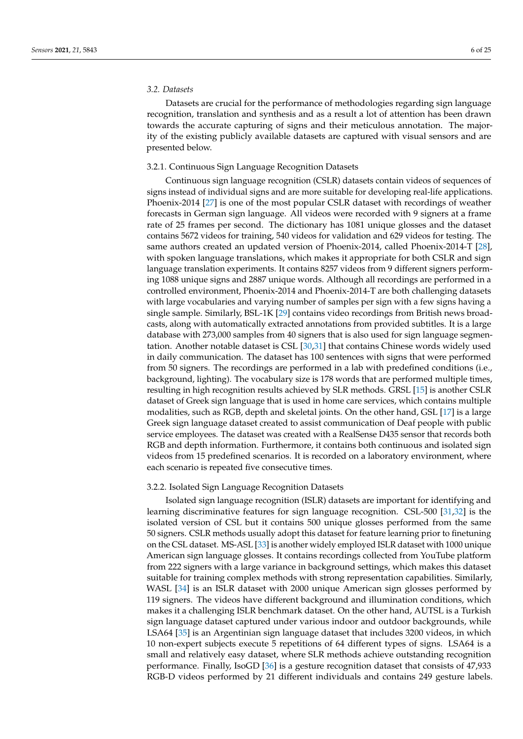## *3.2. Datasets*

Datasets are crucial for the performance of methodologies regarding sign language recognition, translation and synthesis and as a result a lot of attention has been drawn towards the accurate capturing of signs and their meticulous annotation. The majority of the existing publicly available datasets are captured with visual sensors and are presented below.

## 3.2.1. Continuous Sign Language Recognition Datasets

Continuous sign language recognition (CSLR) datasets contain videos of sequences of signs instead of individual signs and are more suitable for developing real-life applications. Phoenix-2014 [\[27\]](#page-20-3) is one of the most popular CSLR dataset with recordings of weather forecasts in German sign language. All videos were recorded with 9 signers at a frame rate of 25 frames per second. The dictionary has 1081 unique glosses and the dataset contains 5672 videos for training, 540 videos for validation and 629 videos for testing. The same authors created an updated version of Phoenix-2014, called Phoenix-2014-T [\[28\]](#page-20-4), with spoken language translations, which makes it appropriate for both CSLR and sign language translation experiments. It contains 8257 videos from 9 different signers performing 1088 unique signs and 2887 unique words. Although all recordings are performed in a controlled environment, Phoenix-2014 and Phoenix-2014-T are both challenging datasets with large vocabularies and varying number of samples per sign with a few signs having a single sample. Similarly, BSL-1K [\[29\]](#page-20-5) contains video recordings from British news broadcasts, along with automatically extracted annotations from provided subtitles. It is a large database with 273,000 samples from 40 signers that is also used for sign language segmentation. Another notable dataset is CSL [\[30,](#page-20-6)[31\]](#page-20-7) that contains Chinese words widely used in daily communication. The dataset has 100 sentences with signs that were performed from 50 signers. The recordings are performed in a lab with predefined conditions (i.e., background, lighting). The vocabulary size is 178 words that are performed multiple times, resulting in high recognition results achieved by SLR methods. GRSL [\[15\]](#page-19-11) is another CSLR dataset of Greek sign language that is used in home care services, which contains multiple modalities, such as RGB, depth and skeletal joints. On the other hand, GSL [\[17\]](#page-19-13) is a large Greek sign language dataset created to assist communication of Deaf people with public service employees. The dataset was created with a RealSense D435 sensor that records both RGB and depth information. Furthermore, it contains both continuous and isolated sign videos from 15 predefined scenarios. It is recorded on a laboratory environment, where each scenario is repeated five consecutive times.

#### 3.2.2. Isolated Sign Language Recognition Datasets

Isolated sign language recognition (ISLR) datasets are important for identifying and learning discriminative features for sign language recognition. CSL-500 [\[31,](#page-20-7)[32\]](#page-20-8) is the isolated version of CSL but it contains 500 unique glosses performed from the same 50 signers. CSLR methods usually adopt this dataset for feature learning prior to finetuning on the CSL dataset. MS-ASL [\[33\]](#page-20-9) is another widely employed ISLR dataset with 1000 unique American sign language glosses. It contains recordings collected from YouTube platform from 222 signers with a large variance in background settings, which makes this dataset suitable for training complex methods with strong representation capabilities. Similarly, WASL [\[34\]](#page-20-10) is an ISLR dataset with 2000 unique American sign glosses performed by 119 signers. The videos have different background and illumination conditions, which makes it a challenging ISLR benchmark dataset. On the other hand, AUTSL is a Turkish sign language dataset captured under various indoor and outdoor backgrounds, while LSA64 [\[35\]](#page-20-11) is an Argentinian sign language dataset that includes 3200 videos, in which 10 non-expert subjects execute 5 repetitions of 64 different types of signs. LSA64 is a small and relatively easy dataset, where SLR methods achieve outstanding recognition performance. Finally, IsoGD [\[36\]](#page-20-12) is a gesture recognition dataset that consists of 47,933 RGB-D videos performed by 21 different individuals and contains 249 gesture labels.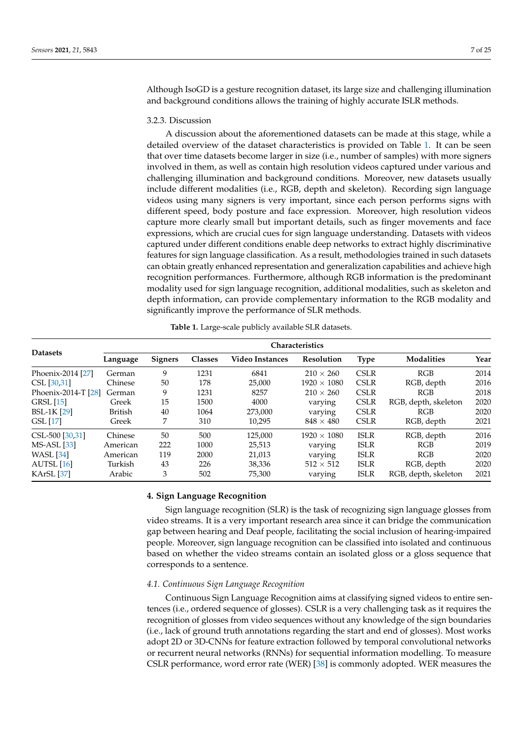Although IsoGD is a gesture recognition dataset, its large size and challenging illumination and background conditions allows the training of highly accurate ISLR methods.

## 3.2.3. Discussion

A discussion about the aforementioned datasets can be made at this stage, while a detailed overview of the dataset characteristics is provided on Table [1.](#page-6-1) It can be seen that over time datasets become larger in size (i.e., number of samples) with more signers involved in them, as well as contain high resolution videos captured under various and challenging illumination and background conditions. Moreover, new datasets usually include different modalities (i.e., RGB, depth and skeleton). Recording sign language videos using many signers is very important, since each person performs signs with different speed, body posture and face expression. Moreover, high resolution videos capture more clearly small but important details, such as finger movements and face expressions, which are crucial cues for sign language understanding. Datasets with videos captured under different conditions enable deep networks to extract highly discriminative features for sign language classification. As a result, methodologies trained in such datasets can obtain greatly enhanced representation and generalization capabilities and achieve high recognition performances. Furthermore, although RGB information is the predominant modality used for sign language recognition, additional modalities, such as skeleton and depth information, can provide complementary information to the RGB modality and significantly improve the performance of SLR methods.

<span id="page-6-1"></span>

|                     | <b>Characteristics</b> |                |                |                        |                    |             |                      |      |
|---------------------|------------------------|----------------|----------------|------------------------|--------------------|-------------|----------------------|------|
| <b>Datasets</b>     | Language               | <b>Signers</b> | <b>Classes</b> | <b>Video Instances</b> | Resolution         | <b>Type</b> | <b>Modalities</b>    | Year |
| Phoenix-2014 [27]   | German                 | 9              | 1231           | 6841                   | $210 \times 260$   | <b>CSLR</b> | RGB                  | 2014 |
| CSL [30,31]         | Chinese                | 50             | 178            | 25,000                 | $1920 \times 1080$ | <b>CSLR</b> | RGB, depth           | 2016 |
| Phoenix-2014-T [28] | German                 | 9              | 1231           | 8257                   | $210 \times 260$   | <b>CSLR</b> | RGB                  | 2018 |
| <b>GRSL</b> [15]    | Greek                  | 15             | 1500           | 4000                   | varying            | <b>CSLR</b> | RGB, depth, skeleton | 2020 |
| <b>BSL-1K [29]</b>  | <b>British</b>         | 40             | 1064           | 273,000                | varying            | <b>CSLR</b> | RGB                  | 2020 |
| GSL [17]            | Greek                  | 7              | 310            | 10.295                 | $848 \times 480$   | <b>CSLR</b> | RGB, depth           | 2021 |
| CSL-500 [30,31]     | Chinese                | 50             | 500            | 125,000                | $1920 \times 1080$ | <b>ISLR</b> | RGB, depth           | 2016 |
| <b>MS-ASL</b> [33]  | American               | 222            | 1000           | 25,513                 | varying            | <b>ISLR</b> | RGB                  | 2019 |
| <b>WASL</b> [34]    | American               | 119            | 2000           | 21,013                 | varying            | <b>ISLR</b> | RGB                  | 2020 |
| AUTSL [16]          | Turkish                | 43             | 226            | 38,336                 | $512 \times 512$   | <b>ISLR</b> | RGB, depth           | 2020 |
| <b>KArSL</b> [37]   | Arabic                 | 3              | 502            | 75,300                 | varying            | <b>ISLR</b> | RGB, depth, skeleton | 2021 |

**Table 1.** Large-scale publicly available SLR datasets.

#### <span id="page-6-0"></span>**4. Sign Language Recognition**

Sign language recognition (SLR) is the task of recognizing sign language glosses from video streams. It is a very important research area since it can bridge the communication gap between hearing and Deaf people, facilitating the social inclusion of hearing-impaired people. Moreover, sign language recognition can be classified into isolated and continuous based on whether the video streams contain an isolated gloss or a gloss sequence that corresponds to a sentence.

#### *4.1. Continuous Sign Language Recognition*

Continuous Sign Language Recognition aims at classifying signed videos to entire sentences (i.e., ordered sequence of glosses). CSLR is a very challenging task as it requires the recognition of glosses from video sequences without any knowledge of the sign boundaries (i.e., lack of ground truth annotations regarding the start and end of glosses). Most works adopt 2D or 3D-CNNs for feature extraction followed by temporal convolutional networks or recurrent neural networks (RNNs) for sequential information modelling. To measure CSLR performance, word error rate (WER) [\[38\]](#page-20-14) is commonly adopted. WER measures the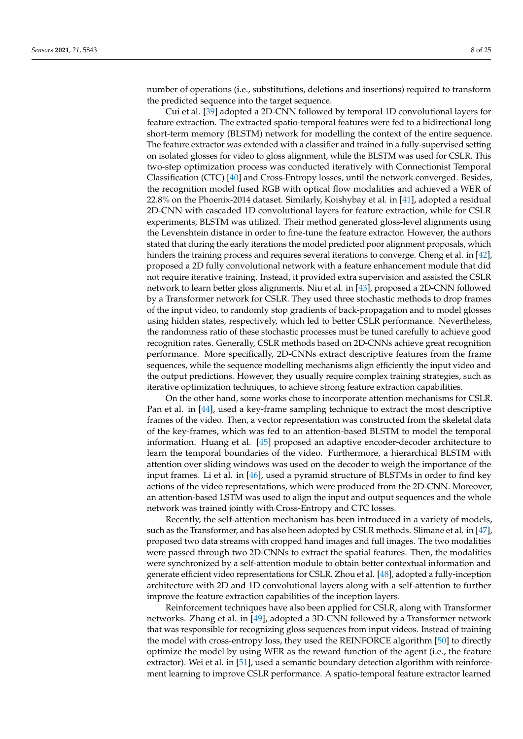number of operations (i.e., substitutions, deletions and insertions) required to transform the predicted sequence into the target sequence.

Cui et al. [\[39\]](#page-20-15) adopted a 2D-CNN followed by temporal 1D convolutional layers for feature extraction. The extracted spatio-temporal features were fed to a bidirectional long short-term memory (BLSTM) network for modelling the context of the entire sequence. The feature extractor was extended with a classifier and trained in a fully-supervised setting on isolated glosses for video to gloss alignment, while the BLSTM was used for CSLR. This two-step optimization process was conducted iteratively with Connectionist Temporal Classification (CTC) [\[40\]](#page-20-16) and Cross-Entropy losses, until the network converged. Besides, the recognition model fused RGB with optical flow modalities and achieved a WER of 22.8% on the Phoenix-2014 dataset. Similarly, Koishybay et al. in [\[41\]](#page-20-17), adopted a residual 2D-CNN with cascaded 1D convolutional layers for feature extraction, while for CSLR experiments, BLSTM was utilized. Their method generated gloss-level alignments using the Levenshtein distance in order to fine-tune the feature extractor. However, the authors stated that during the early iterations the model predicted poor alignment proposals, which hinders the training process and requires several iterations to converge. Cheng et al. in [\[42\]](#page-20-18), proposed a 2D fully convolutional network with a feature enhancement module that did not require iterative training. Instead, it provided extra supervision and assisted the CSLR network to learn better gloss alignments. Niu et al. in [\[43\]](#page-20-19), proposed a 2D-CNN followed by a Transformer network for CSLR. They used three stochastic methods to drop frames of the input video, to randomly stop gradients of back-propagation and to model glosses using hidden states, respectively, which led to better CSLR performance. Nevertheless, the randomness ratio of these stochastic processes must be tuned carefully to achieve good recognition rates. Generally, CSLR methods based on 2D-CNNs achieve great recognition performance. More specifically, 2D-CNNs extract descriptive features from the frame sequences, while the sequence modelling mechanisms align efficiently the input video and the output predictions. However, they usually require complex training strategies, such as iterative optimization techniques, to achieve strong feature extraction capabilities.

On the other hand, some works chose to incorporate attention mechanisms for CSLR. Pan et al. in [\[44\]](#page-20-20), used a key-frame sampling technique to extract the most descriptive frames of the video. Then, a vector representation was constructed from the skeletal data of the key-frames, which was fed to an attention-based BLSTM to model the temporal information. Huang et al. [\[45\]](#page-20-21) proposed an adaptive encoder-decoder architecture to learn the temporal boundaries of the video. Furthermore, a hierarchical BLSTM with attention over sliding windows was used on the decoder to weigh the importance of the input frames. Li et al. in [\[46\]](#page-20-22), used a pyramid structure of BLSTMs in order to find key actions of the video representations, which were produced from the 2D-CNN. Moreover, an attention-based LSTM was used to align the input and output sequences and the whole network was trained jointly with Cross-Entropy and CTC losses.

Recently, the self-attention mechanism has been introduced in a variety of models, such as the Transformer, and has also been adopted by CSLR methods. Slimane et al. in [\[47\]](#page-20-23), proposed two data streams with cropped hand images and full images. The two modalities were passed through two 2D-CNNs to extract the spatial features. Then, the modalities were synchronized by a self-attention module to obtain better contextual information and generate efficient video representations for CSLR. Zhou et al. [\[48\]](#page-20-24), adopted a fully-inception architecture with 2D and 1D convolutional layers along with a self-attention to further improve the feature extraction capabilities of the inception layers.

Reinforcement techniques have also been applied for CSLR, along with Transformer networks. Zhang et al. in [\[49\]](#page-20-25), adopted a 3D-CNN followed by a Transformer network that was responsible for recognizing gloss sequences from input videos. Instead of training the model with cross-entropy loss, they used the REINFORCE algorithm [\[50\]](#page-21-0) to directly optimize the model by using WER as the reward function of the agent (i.e., the feature extractor). Wei et al. in [\[51\]](#page-21-1), used a semantic boundary detection algorithm with reinforcement learning to improve CSLR performance. A spatio-temporal feature extractor learned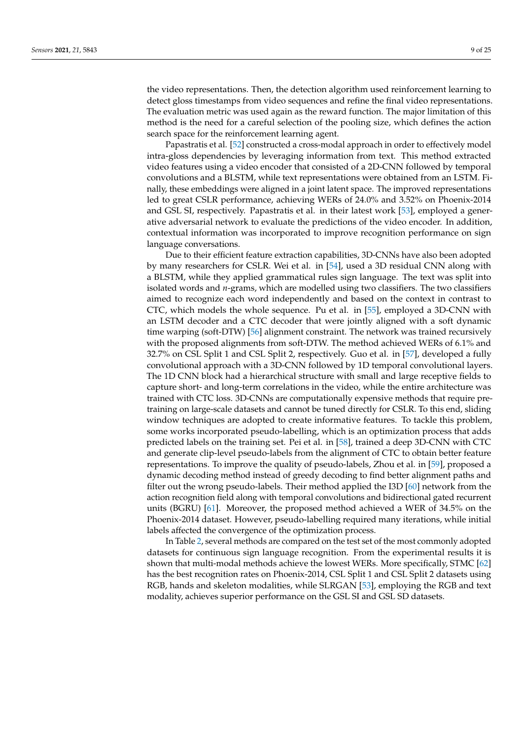the video representations. Then, the detection algorithm used reinforcement learning to detect gloss timestamps from video sequences and refine the final video representations. The evaluation metric was used again as the reward function. The major limitation of this method is the need for a careful selection of the pooling size, which defines the action search space for the reinforcement learning agent.

Papastratis et al. [\[52\]](#page-21-2) constructed a cross-modal approach in order to effectively model intra-gloss dependencies by leveraging information from text. This method extracted video features using a video encoder that consisted of a 2D-CNN followed by temporal convolutions and a BLSTM, while text representations were obtained from an LSTM. Finally, these embeddings were aligned in a joint latent space. The improved representations led to great CSLR performance, achieving WERs of 24.0% and 3.52% on Phoenix-2014 and GSL SI, respectively. Papastratis et al. in their latest work [\[53\]](#page-21-3), employed a generative adversarial network to evaluate the predictions of the video encoder. In addition, contextual information was incorporated to improve recognition performance on sign language conversations.

Due to their efficient feature extraction capabilities, 3D-CNNs have also been adopted by many researchers for CSLR. Wei et al. in [\[54\]](#page-21-4), used a 3D residual CNN along with a BLSTM, while they applied grammatical rules sign language. The text was split into isolated words and *n*-grams, which are modelled using two classifiers. The two classifiers aimed to recognize each word independently and based on the context in contrast to CTC, which models the whole sequence. Pu et al. in [\[55\]](#page-21-5), employed a 3D-CNN with an LSTM decoder and a CTC decoder that were jointly aligned with a soft dynamic time warping (soft-DTW) [\[56\]](#page-21-6) alignment constraint. The network was trained recursively with the proposed alignments from soft-DTW. The method achieved WERs of 6.1% and 32.7% on CSL Split 1 and CSL Split 2, respectively. Guo et al. in [\[57\]](#page-21-7), developed a fully convolutional approach with a 3D-CNN followed by 1D temporal convolutional layers. The 1D CNN block had a hierarchical structure with small and large receptive fields to capture short- and long-term correlations in the video, while the entire architecture was trained with CTC loss. 3D-CNNs are computationally expensive methods that require pretraining on large-scale datasets and cannot be tuned directly for CSLR. To this end, sliding window techniques are adopted to create informative features. To tackle this problem, some works incorporated pseudo-labelling, which is an optimization process that adds predicted labels on the training set. Pei et al. in [\[58\]](#page-21-8), trained a deep 3D-CNN with CTC and generate clip-level pseudo-labels from the alignment of CTC to obtain better feature representations. To improve the quality of pseudo-labels, Zhou et al. in [\[59\]](#page-21-9), proposed a dynamic decoding method instead of greedy decoding to find better alignment paths and filter out the wrong pseudo-labels. Their method applied the I3D [\[60\]](#page-21-10) network from the action recognition field along with temporal convolutions and bidirectional gated recurrent units (BGRU) [\[61\]](#page-21-11). Moreover, the proposed method achieved a WER of 34.5% on the Phoenix-2014 dataset. However, pseudo-labelling required many iterations, while initial labels affected the convergence of the optimization process.

In Table [2,](#page-9-0) several methods are compared on the test set of the most commonly adopted datasets for continuous sign language recognition. From the experimental results it is shown that multi-modal methods achieve the lowest WERs. More specifically, STMC [\[62\]](#page-21-12) has the best recognition rates on Phoenix-2014, CSL Split 1 and CSL Split 2 datasets using RGB, hands and skeleton modalities, while SLRGAN [\[53\]](#page-21-3), employing the RGB and text modality, achieves superior performance on the GSL SI and GSL SD datasets.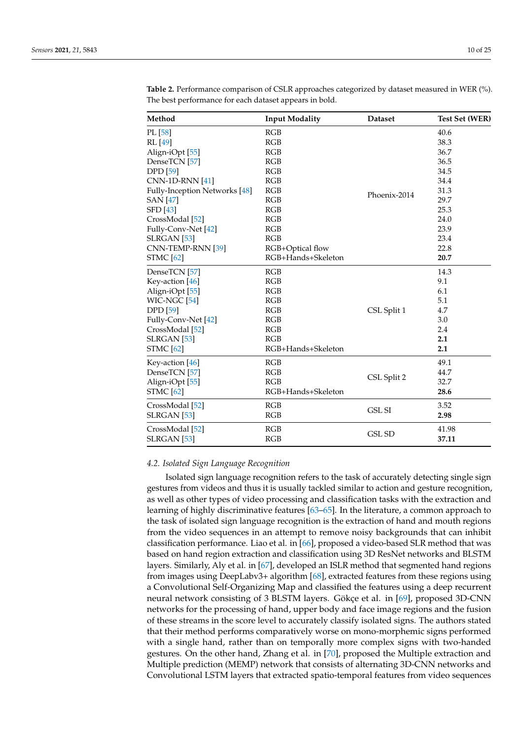| Method                        | <b>Input Modality</b>             | <b>Dataset</b> | <b>Test Set (WER)</b> |  |
|-------------------------------|-----------------------------------|----------------|-----------------------|--|
| PL [58]                       | RGB                               |                | 40.6                  |  |
| RL [49]                       | <b>RGB</b>                        |                | 38.3                  |  |
| Align-iOpt <sup>[55]</sup>    | <b>RGB</b>                        |                | 36.7                  |  |
| DenseTCN <sup>[57]</sup>      | RGB                               |                | 36.5                  |  |
| <b>DPD</b> [59]               | RGB                               |                | 34.5                  |  |
| <b>CNN-1D-RNN</b> [41]        | RGB<br>RGB<br>Phoenix-2014<br>RGB |                | 34.4                  |  |
| Fully-Inception Networks [48] |                                   |                | 31.3                  |  |
| <b>SAN</b> [47]               |                                   |                | 29.7                  |  |
| <b>SFD</b> [43]               | RGB                               |                | 25.3                  |  |
| CrossModal <sup>[52]</sup>    | <b>RGB</b>                        |                | 24.0                  |  |
| Fully-Conv-Net [42]           | RGB                               |                | 23.9                  |  |
| SLRGAN <sup>[53]</sup>        | RGB                               |                | 23.4                  |  |
| CNN-TEMP-RNN [39]             | RGB+Optical flow                  |                | 22.8                  |  |
| <b>STMC</b> [62]              | RGB+Hands+Skeleton                |                | 20.7                  |  |
| DenseTCN <sup>[57]</sup>      | RGB                               |                | 14.3                  |  |
| Key-action [46]               | RGB                               |                | 9.1                   |  |
| Align-iOpt <sup>[55]</sup>    | RGB                               |                | 6.1                   |  |
| WIC-NGC <sup>[54]</sup>       | RGB                               |                | 5.1                   |  |
| <b>DPD</b> [59]               | RGB                               | CSL Split 1    |                       |  |
| Fully-Conv-Net [42]           | RGB<br>RGB                        |                | 3.0                   |  |
| CrossModal <sup>[52]</sup>    |                                   |                | 2.4                   |  |
| <b>SLRGAN</b> [53]            | RGB                               |                | 2.1                   |  |
| <b>STMC</b> [62]              | RGB+Hands+Skeleton                |                | 2.1                   |  |
| Key-action [46]               | RGB                               |                | 49.1                  |  |
| DenseTCN [57]                 | RGB                               |                | 44.7                  |  |
| Align-iOpt <sup>[55]</sup>    | RGB                               | CSL Split 2    | 32.7                  |  |
| <b>STMC</b> [62]              | RGB+Hands+Skeleton                |                | 28.6                  |  |
| CrossModal [52]               | RGB                               |                | 3.52                  |  |
| <b>SLRGAN</b> [53]            | RGB                               | <b>GSL SI</b>  | 2.98                  |  |
| CrossModal [52]               | RGB                               |                | 41.98                 |  |
| SLRGAN <sup>[53]</sup>        | RGB                               | <b>GSL SD</b>  | 37.11                 |  |

<span id="page-9-0"></span>**Table 2.** Performance comparison of CSLR approaches categorized by dataset measured in WER (%). The best performance for each dataset appears in bold.

# *4.2. Isolated Sign Language Recognition*

Isolated sign language recognition refers to the task of accurately detecting single sign gestures from videos and thus it is usually tackled similar to action and gesture recognition, as well as other types of video processing and classification tasks with the extraction and learning of highly discriminative features [\[63](#page-21-13)[–65\]](#page-21-14). In the literature, a common approach to the task of isolated sign language recognition is the extraction of hand and mouth regions from the video sequences in an attempt to remove noisy backgrounds that can inhibit classification performance. Liao et al. in [\[66\]](#page-21-15), proposed a video-based SLR method that was based on hand region extraction and classification using 3D ResNet networks and BLSTM layers. Similarly, Aly et al. in [\[67\]](#page-21-16), developed an ISLR method that segmented hand regions from images using DeepLabv3+ algorithm [\[68\]](#page-21-17), extracted features from these regions using a Convolutional Self-Organizing Map and classified the features using a deep recurrent neural network consisting of 3 BLSTM layers. Gökçe et al. in [\[69\]](#page-21-18), proposed 3D-CNN networks for the processing of hand, upper body and face image regions and the fusion of these streams in the score level to accurately classify isolated signs. The authors stated that their method performs comparatively worse on mono-morphemic signs performed with a single hand, rather than on temporally more complex signs with two-handed gestures. On the other hand, Zhang et al. in [\[70\]](#page-21-19), proposed the Multiple extraction and Multiple prediction (MEMP) network that consists of alternating 3D-CNN networks and Convolutional LSTM layers that extracted spatio-temporal features from video sequences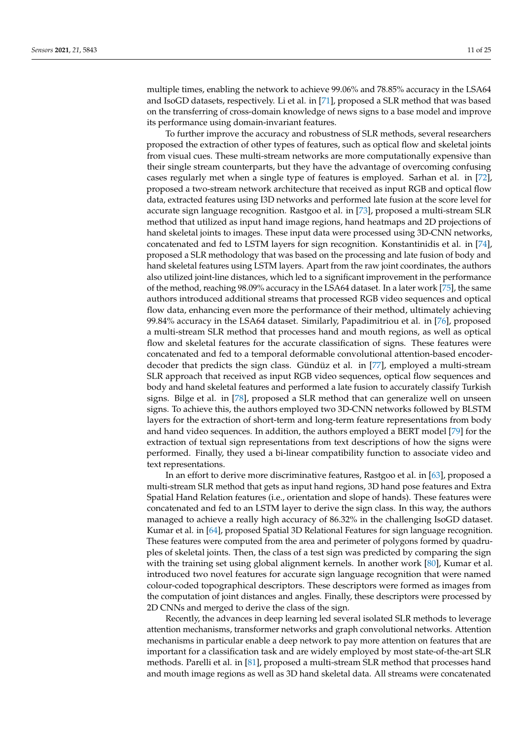multiple times, enabling the network to achieve 99.06% and 78.85% accuracy in the LSA64 and IsoGD datasets, respectively. Li et al. in [\[71\]](#page-21-20), proposed a SLR method that was based on the transferring of cross-domain knowledge of news signs to a base model and improve its performance using domain-invariant features.

To further improve the accuracy and robustness of SLR methods, several researchers proposed the extraction of other types of features, such as optical flow and skeletal joints from visual cues. These multi-stream networks are more computationally expensive than their single stream counterparts, but they have the advantage of overcoming confusing cases regularly met when a single type of features is employed. Sarhan et al. in [\[72\]](#page-21-21), proposed a two-stream network architecture that received as input RGB and optical flow data, extracted features using I3D networks and performed late fusion at the score level for accurate sign language recognition. Rastgoo et al. in [\[73\]](#page-21-22), proposed a multi-stream SLR method that utilized as input hand image regions, hand heatmaps and 2D projections of hand skeletal joints to images. These input data were processed using 3D-CNN networks, concatenated and fed to LSTM layers for sign recognition. Konstantinidis et al. in [\[74\]](#page-21-23), proposed a SLR methodology that was based on the processing and late fusion of body and hand skeletal features using LSTM layers. Apart from the raw joint coordinates, the authors also utilized joint-line distances, which led to a significant improvement in the performance of the method, reaching 98.09% accuracy in the LSA64 dataset. In a later work [\[75\]](#page-21-24), the same authors introduced additional streams that processed RGB video sequences and optical flow data, enhancing even more the performance of their method, ultimately achieving 99.84% accuracy in the LSA64 dataset. Similarly, Papadimitriou et al. in [\[76\]](#page-21-25), proposed a multi-stream SLR method that processes hand and mouth regions, as well as optical flow and skeletal features for the accurate classification of signs. These features were concatenated and fed to a temporal deformable convolutional attention-based encoderdecoder that predicts the sign class. Gündüz et al. in [\[77\]](#page-22-0), employed a multi-stream SLR approach that received as input RGB video sequences, optical flow sequences and body and hand skeletal features and performed a late fusion to accurately classify Turkish signs. Bilge et al. in [\[78\]](#page-22-1), proposed a SLR method that can generalize well on unseen signs. To achieve this, the authors employed two 3D-CNN networks followed by BLSTM layers for the extraction of short-term and long-term feature representations from body and hand video sequences. In addition, the authors employed a BERT model [\[79\]](#page-22-2) for the extraction of textual sign representations from text descriptions of how the signs were performed. Finally, they used a bi-linear compatibility function to associate video and text representations.

In an effort to derive more discriminative features, Rastgoo et al. in [\[63\]](#page-21-13), proposed a multi-stream SLR method that gets as input hand regions, 3D hand pose features and Extra Spatial Hand Relation features (i.e., orientation and slope of hands). These features were concatenated and fed to an LSTM layer to derive the sign class. In this way, the authors managed to achieve a really high accuracy of 86.32% in the challenging IsoGD dataset. Kumar et al. in [\[64\]](#page-21-26), proposed Spatial 3D Relational Features for sign language recognition. These features were computed from the area and perimeter of polygons formed by quadruples of skeletal joints. Then, the class of a test sign was predicted by comparing the sign with the training set using global alignment kernels. In another work [\[80\]](#page-22-3), Kumar et al. introduced two novel features for accurate sign language recognition that were named colour-coded topographical descriptors. These descriptors were formed as images from the computation of joint distances and angles. Finally, these descriptors were processed by 2D CNNs and merged to derive the class of the sign.

Recently, the advances in deep learning led several isolated SLR methods to leverage attention mechanisms, transformer networks and graph convolutional networks. Attention mechanisms in particular enable a deep network to pay more attention on features that are important for a classification task and are widely employed by most state-of-the-art SLR methods. Parelli et al. in [\[81\]](#page-22-4), proposed a multi-stream SLR method that processes hand and mouth image regions as well as 3D hand skeletal data. All streams were concatenated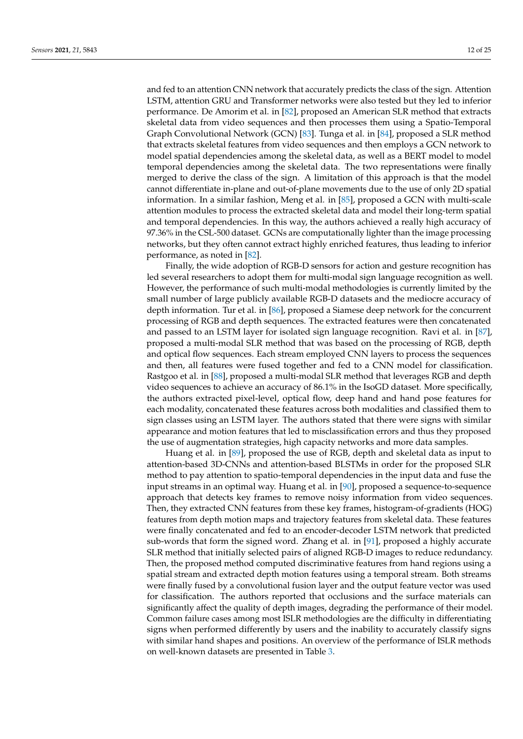and fed to an attention CNN network that accurately predicts the class of the sign. Attention LSTM, attention GRU and Transformer networks were also tested but they led to inferior performance. De Amorim et al. in [\[82\]](#page-22-5), proposed an American SLR method that extracts skeletal data from video sequences and then processes them using a Spatio-Temporal Graph Convolutional Network (GCN) [\[83\]](#page-22-6). Tunga et al. in [\[84\]](#page-22-7), proposed a SLR method that extracts skeletal features from video sequences and then employs a GCN network to model spatial dependencies among the skeletal data, as well as a BERT model to model temporal dependencies among the skeletal data. The two representations were finally merged to derive the class of the sign. A limitation of this approach is that the model cannot differentiate in-plane and out-of-plane movements due to the use of only 2D spatial information. In a similar fashion, Meng et al. in [\[85\]](#page-22-8), proposed a GCN with multi-scale attention modules to process the extracted skeletal data and model their long-term spatial and temporal dependencies. In this way, the authors achieved a really high accuracy of 97.36% in the CSL-500 dataset. GCNs are computationally lighter than the image processing networks, but they often cannot extract highly enriched features, thus leading to inferior performance, as noted in [\[82\]](#page-22-5).

Finally, the wide adoption of RGB-D sensors for action and gesture recognition has led several researchers to adopt them for multi-modal sign language recognition as well. However, the performance of such multi-modal methodologies is currently limited by the small number of large publicly available RGB-D datasets and the mediocre accuracy of depth information. Tur et al. in [\[86\]](#page-22-9), proposed a Siamese deep network for the concurrent processing of RGB and depth sequences. The extracted features were then concatenated and passed to an LSTM layer for isolated sign language recognition. Ravi et al. in [\[87\]](#page-22-10), proposed a multi-modal SLR method that was based on the processing of RGB, depth and optical flow sequences. Each stream employed CNN layers to process the sequences and then, all features were fused together and fed to a CNN model for classification. Rastgoo et al. in [\[88\]](#page-22-11), proposed a multi-modal SLR method that leverages RGB and depth video sequences to achieve an accuracy of 86.1% in the IsoGD dataset. More specifically, the authors extracted pixel-level, optical flow, deep hand and hand pose features for each modality, concatenated these features across both modalities and classified them to sign classes using an LSTM layer. The authors stated that there were signs with similar appearance and motion features that led to misclassification errors and thus they proposed the use of augmentation strategies, high capacity networks and more data samples.

Huang et al. in [\[89\]](#page-22-12), proposed the use of RGB, depth and skeletal data as input to attention-based 3D-CNNs and attention-based BLSTMs in order for the proposed SLR method to pay attention to spatio-temporal dependencies in the input data and fuse the input streams in an optimal way. Huang et al. in [\[90\]](#page-22-13), proposed a sequence-to-sequence approach that detects key frames to remove noisy information from video sequences. Then, they extracted CNN features from these key frames, histogram-of-gradients (HOG) features from depth motion maps and trajectory features from skeletal data. These features were finally concatenated and fed to an encoder-decoder LSTM network that predicted sub-words that form the signed word. Zhang et al. in [\[91\]](#page-22-14), proposed a highly accurate SLR method that initially selected pairs of aligned RGB-D images to reduce redundancy. Then, the proposed method computed discriminative features from hand regions using a spatial stream and extracted depth motion features using a temporal stream. Both streams were finally fused by a convolutional fusion layer and the output feature vector was used for classification. The authors reported that occlusions and the surface materials can significantly affect the quality of depth images, degrading the performance of their model. Common failure cases among most ISLR methodologies are the difficulty in differentiating signs when performed differently by users and the inability to accurately classify signs with similar hand shapes and positions. An overview of the performance of ISLR methods on well-known datasets are presented in Table [3.](#page-12-0)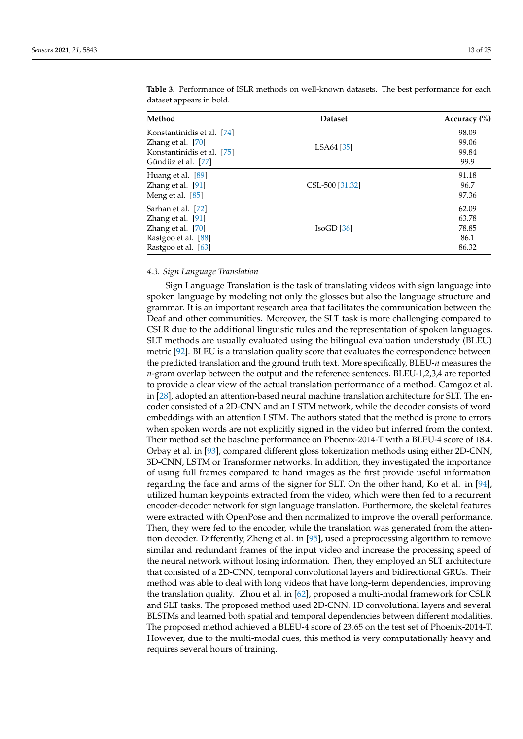| Method                                                                                                     | <b>Dataset</b>  | Accuracy $(\% )$                         |  |
|------------------------------------------------------------------------------------------------------------|-----------------|------------------------------------------|--|
| Konstantinidis et al. [74]<br>Zhang et al. [70]<br>Konstantinidis et al. [75]<br>Gündüz et al. [77]        | LSA64 [35]      | 98.09<br>99.06<br>99.84<br>99.9          |  |
| Huang et al. [89]<br>Zhang et al. [91]<br>Meng et al. [85]                                                 | CSL-500 [31,32] | 91.18<br>96.7<br>97.36                   |  |
| Sarhan et al. [72]<br>Zhang et al. [91]<br>Zhang et al. [70]<br>Rastgoo et al. [88]<br>Rastgoo et al. [63] | IsoGD [36]      | 62.09<br>63.78<br>78.85<br>86.1<br>86.32 |  |

<span id="page-12-0"></span>**Table 3.** Performance of ISLR methods on well-known datasets. The best performance for each dataset appears in bold.

# *4.3. Sign Language Translation*

Sign Language Translation is the task of translating videos with sign language into spoken language by modeling not only the glosses but also the language structure and grammar. It is an important research area that facilitates the communication between the Deaf and other communities. Moreover, the SLT task is more challenging compared to CSLR due to the additional linguistic rules and the representation of spoken languages. SLT methods are usually evaluated using the bilingual evaluation understudy (BLEU) metric [\[92\]](#page-22-15). BLEU is a translation quality score that evaluates the correspondence between the predicted translation and the ground truth text. More specifically, BLEU-*n* measures the *n*-gram overlap between the output and the reference sentences. BLEU-1,2,3,4 are reported to provide a clear view of the actual translation performance of a method. Camgoz et al. in [\[28\]](#page-20-4), adopted an attention-based neural machine translation architecture for SLT. The encoder consisted of a 2D-CNN and an LSTM network, while the decoder consists of word embeddings with an attention LSTM. The authors stated that the method is prone to errors when spoken words are not explicitly signed in the video but inferred from the context. Their method set the baseline performance on Phoenix-2014-T with a BLEU-4 score of 18.4. Orbay et al. in [\[93\]](#page-22-16), compared different gloss tokenization methods using either 2D-CNN, 3D-CNN, LSTM or Transformer networks. In addition, they investigated the importance of using full frames compared to hand images as the first provide useful information regarding the face and arms of the signer for SLT. On the other hand, Ko et al. in [\[94\]](#page-22-17), utilized human keypoints extracted from the video, which were then fed to a recurrent encoder-decoder network for sign language translation. Furthermore, the skeletal features were extracted with OpenPose and then normalized to improve the overall performance. Then, they were fed to the encoder, while the translation was generated from the attention decoder. Differently, Zheng et al. in [\[95\]](#page-22-18), used a preprocessing algorithm to remove similar and redundant frames of the input video and increase the processing speed of the neural network without losing information. Then, they employed an SLT architecture that consisted of a 2D-CNN, temporal convolutional layers and bidirectional GRUs. Their method was able to deal with long videos that have long-term dependencies, improving the translation quality. Zhou et al. in [\[62\]](#page-21-12), proposed a multi-modal framework for CSLR and SLT tasks. The proposed method used 2D-CNN, 1D convolutional layers and several BLSTMs and learned both spatial and temporal dependencies between different modalities. The proposed method achieved a BLEU-4 score of 23.65 on the test set of Phoenix-2014-T. However, due to the multi-modal cues, this method is very computationally heavy and requires several hours of training.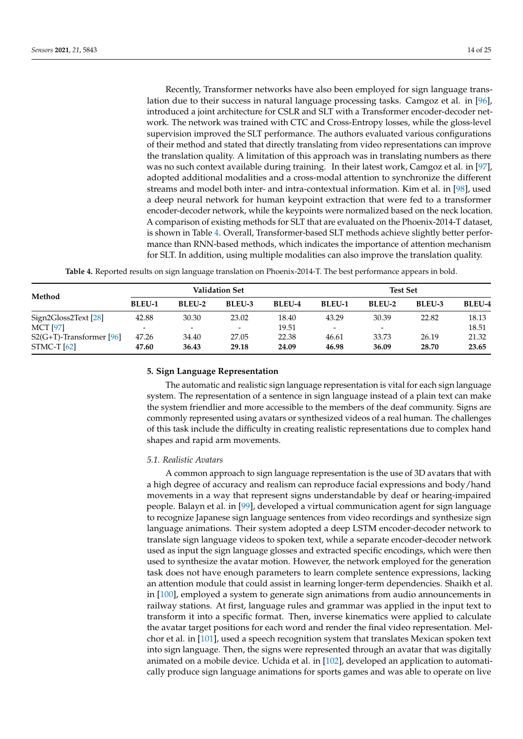Recently, Transformer networks have also been employed for sign language translation due to their success in natural language processing tasks. Camgoz et al. in [\[96\]](#page-22-19), introduced a joint architecture for CSLR and SLT with a Transformer encoder-decoder network. The network was trained with CTC and Cross-Entropy losses, while the gloss-level supervision improved the SLT performance. The authors evaluated various configurations of their method and stated that directly translating from video representations can improve the translation quality. A limitation of this approach was in translating numbers as there was no such context available during training. In their latest work, Camgoz et al. in [\[97\]](#page-22-20), adopted additional modalities and a cross-modal attention to synchronize the different streams and model both inter- and intra-contextual information. Kim et al. in [\[98\]](#page-22-21), used a deep neural network for human keypoint extraction that were fed to a transformer encoder-decoder network, while the keypoints were normalized based on the neck location. A comparison of existing methods for SLT that are evaluated on the Phoenix-2014-T dataset, is shown in Table [4.](#page-13-1) Overall, Transformer-based SLT methods achieve slightly better performance than RNN-based methods, which indicates the importance of attention mechanism for SLT. In addition, using multiple modalities can also improve the translation quality.

**Table 4.** Reported results on sign language translation on Phoenix-2014-T. The best performance appears in bold.

<span id="page-13-1"></span>

|                             | <b>Validation Set</b>    |                          |                          |               | <b>Test Set</b>              |        |               |               |
|-----------------------------|--------------------------|--------------------------|--------------------------|---------------|------------------------------|--------|---------------|---------------|
| Method                      | <b>BLEU-1</b>            | BLEU-2                   | <b>BLEU-3</b>            | <b>BLEU-4</b> | <b>BLEU-1</b>                | BLEU-2 | <b>BLEU-3</b> | <b>BLEU-4</b> |
| Sign2Gloss2Text [28]        | 42.88                    | 30.30                    | 23.02                    | 18.40         | 43.29                        | 30.39  | 22.82         | 18.13         |
| <b>MCT</b> [97]             | $\overline{\phantom{a}}$ | $\overline{\phantom{0}}$ | $\overline{\phantom{0}}$ | 19.51         | $\qquad \qquad \blacksquare$ | -      |               | 18.51         |
| $S2(G+T)$ -Transformer [96] | 47.26                    | 34.40                    | 27.05                    | 22.38         | 46.61                        | 33.73  | 26.19         | 21.32         |
| STMC-T $[62]$               | 47.60                    | 36.43                    | 29.18                    | 24.09         | 46.98                        | 36.09  | 28.70         | 23.65         |

#### <span id="page-13-0"></span>**5. Sign Language Representation**

The automatic and realistic sign language representation is vital for each sign language system. The representation of a sentence in sign language instead of a plain text can make the system friendlier and more accessible to the members of the deaf community. Signs are commonly represented using avatars or synthesized videos of a real human. The challenges of this task include the difficulty in creating realistic representations due to complex hand shapes and rapid arm movements.

#### *5.1. Realistic Avatars*

A common approach to sign language representation is the use of 3D avatars that with a high degree of accuracy and realism can reproduce facial expressions and body/hand movements in a way that represent signs understandable by deaf or hearing-impaired people. Balayn et al. in [\[99\]](#page-22-22), developed a virtual communication agent for sign language to recognize Japanese sign language sentences from video recordings and synthesize sign language animations. Their system adopted a deep LSTM encoder-decoder network to translate sign language videos to spoken text, while a separate encoder-decoder network used as input the sign language glosses and extracted specific encodings, which were then used to synthesize the avatar motion. However, the network employed for the generation task does not have enough parameters to learn complete sentence expressions, lacking an attention module that could assist in learning longer-term dependencies. Shaikh et al. in [\[100\]](#page-22-23), employed a system to generate sign animations from audio announcements in railway stations. At first, language rules and grammar was applied in the input text to transform it into a specific format. Then, inverse kinematics were applied to calculate the avatar target positions for each word and render the final video representation. Melchor et al. in [\[101\]](#page-22-24), used a speech recognition system that translates Mexican spoken text into sign language. Then, the signs were represented through an avatar that was digitally animated on a mobile device. Uchida et al. in [\[102\]](#page-22-25), developed an application to automatically produce sign language animations for sports games and was able to operate on live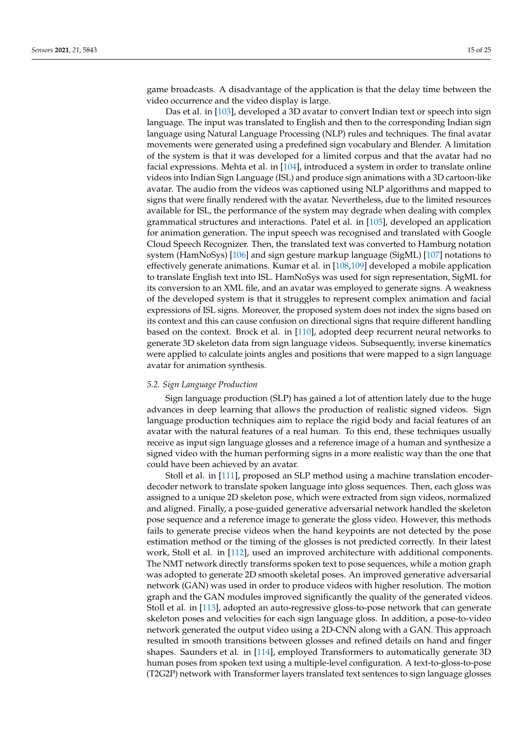game broadcasts. A disadvantage of the application is that the delay time between the video occurrence and the video display is large.

Das et al. in [\[103\]](#page-23-0), developed a 3D avatar to convert Indian text or speech into sign language. The input was translated to English and then to the corresponding Indian sign language using Natural Language Processing (NLP) rules and techniques. The final avatar movements were generated using a predefined sign vocabulary and Blender. A limitation of the system is that it was developed for a limited corpus and that the avatar had no facial expressions. Mehta et al. in [\[104\]](#page-23-1), introduced a system in order to translate online videos into Indian Sign Language (ISL) and produce sign animations with a 3D cartoon-like avatar. The audio from the videos was captioned using NLP algorithms and mapped to signs that were finally rendered with the avatar. Nevertheless, due to the limited resources available for ISL, the performance of the system may degrade when dealing with complex grammatical structures and interactions. Patel et al. in [\[105\]](#page-23-2), developed an application for animation generation. The input speech was recognised and translated with Google Cloud Speech Recognizer. Then, the translated text was converted to Hamburg notation system (HamNoSys) [\[106\]](#page-23-3) and sign gesture markup language (SigML) [\[107\]](#page-23-4) notations to effectively generate animations. Kumar et al. in [\[108,](#page-23-5)[109\]](#page-23-6) developed a mobile application to translate English text into ISL. HamNoSys was used for sign representation, SigML for its conversion to an XML file, and an avatar was employed to generate signs. A weakness of the developed system is that it struggles to represent complex animation and facial expressions of ISL signs. Moreover, the proposed system does not index the signs based on its context and this can cause confusion on directional signs that require different handling based on the context. Brock et al. in [\[110\]](#page-23-7), adopted deep recurrent neural networks to generate 3D skeleton data from sign language videos. Subsequently, inverse kinematics were applied to calculate joints angles and positions that were mapped to a sign language avatar for animation synthesis.

## *5.2. Sign Language Production*

Sign language production (SLP) has gained a lot of attention lately due to the huge advances in deep learning that allows the production of realistic signed videos. Sign language production techniques aim to replace the rigid body and facial features of an avatar with the natural features of a real human. To this end, these techniques usually receive as input sign language glosses and a reference image of a human and synthesize a signed video with the human performing signs in a more realistic way than the one that could have been achieved by an avatar.

Stoll et al. in [\[111\]](#page-23-8), proposed an SLP method using a machine translation encoderdecoder network to translate spoken language into gloss sequences. Then, each gloss was assigned to a unique 2D skeleton pose, which were extracted from sign videos, normalized and aligned. Finally, a pose-guided generative adversarial network handled the skeleton pose sequence and a reference image to generate the gloss video. However, this methods fails to generate precise videos when the hand keypoints are not detected by the pose estimation method or the timing of the glosses is not predicted correctly. In their latest work, Stoll et al. in [\[112\]](#page-23-9), used an improved architecture with additional components. The NMT network directly transforms spoken text to pose sequences, while a motion graph was adopted to generate 2D smooth skeletal poses. An improved generative adversarial network (GAN) was used in order to produce videos with higher resolution. The motion graph and the GAN modules improved significantly the quality of the generated videos. Stoll et al. in [\[113\]](#page-23-10), adopted an auto-regressive gloss-to-pose network that can generate skeleton poses and velocities for each sign language gloss. In addition, a pose-to-video network generated the output video using a 2D-CNN along with a GAN. This approach resulted in smooth transitions between glosses and refined details on hand and finger shapes. Saunders et al. in [\[114\]](#page-23-11), employed Transformers to automatically generate 3D human poses from spoken text using a multiple-level configuration. A text-to-gloss-to-pose (T2G2P) network with Transformer layers translated text sentences to sign language glosses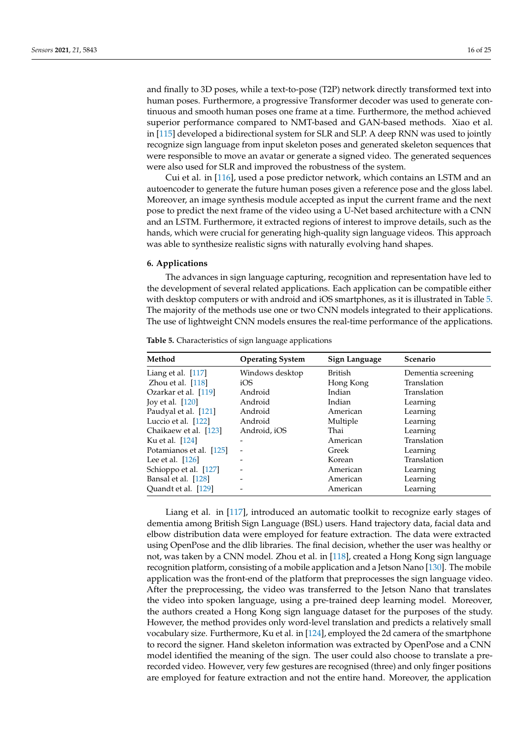and finally to 3D poses, while a text-to-pose (T2P) network directly transformed text into human poses. Furthermore, a progressive Transformer decoder was used to generate continuous and smooth human poses one frame at a time. Furthermore, the method achieved superior performance compared to NMT-based and GAN-based methods. Xiao et al. in [\[115\]](#page-23-12) developed a bidirectional system for SLR and SLP. A deep RNN was used to jointly recognize sign language from input skeleton poses and generated skeleton sequences that were responsible to move an avatar or generate a signed video. The generated sequences were also used for SLR and improved the robustness of the system.

Cui et al. in [\[116\]](#page-23-13), used a pose predictor network, which contains an LSTM and an autoencoder to generate the future human poses given a reference pose and the gloss label. Moreover, an image synthesis module accepted as input the current frame and the next pose to predict the next frame of the video using a U-Net based architecture with a CNN and an LSTM. Furthermore, it extracted regions of interest to improve details, such as the hands, which were crucial for generating high-quality sign language videos. This approach was able to synthesize realistic signs with naturally evolving hand shapes.

## <span id="page-15-0"></span>**6. Applications**

The advances in sign language capturing, recognition and representation have led to the development of several related applications. Each application can be compatible either with desktop computers or with android and iOS smartphones, as it is illustrated in Table [5.](#page-15-1) The majority of the methods use one or two CNN models integrated to their applications. The use of lightweight CNN models ensures the real-time performance of the applications.

| Method                  | <b>Operating System</b> | Sign Language | <b>Scenario</b>    |
|-------------------------|-------------------------|---------------|--------------------|
| Liang et al. $[117]$    | Windows desktop         | British       | Dementia screening |
| Zhou et al. $[118]$     | iOS                     | Hong Kong     | Translation        |
| Ozarkar et al. [119]    | Android                 | Indian        | Translation        |
| Joy et al. [120]        | Android                 | Indian        | Learning           |
| Paudyal et al. [121]    | Android                 | American      | Learning           |
| Luccio et al. [122]     | Android                 | Multiple      | Learning           |
| Chaikaew et al. [123]   | Android, iOS            | Thai          | Learning           |
| Ku et al. [124]         | -                       | American      | Translation        |
| Potamianos et al. [125] |                         | Greek         | Learning           |
| Lee et al. $[126]$      |                         | Korean        | Translation        |
| Schioppo et al. [127]   |                         | American      | Learning           |
| Bansal et al. [128]     |                         | American      | Learning           |
| Quandt et al. [129]     |                         | American      | Learning           |

<span id="page-15-1"></span>**Table 5.** Characteristics of sign language applications

Liang et al. in [\[117\]](#page-23-14), introduced an automatic toolkit to recognize early stages of dementia among British Sign Language (BSL) users. Hand trajectory data, facial data and elbow distribution data were employed for feature extraction. The data were extracted using OpenPose and the dlib libraries. The final decision, whether the user was healthy or not, was taken by a CNN model. Zhou et al. in [\[118\]](#page-23-15), created a Hong Kong sign language recognition platform, consisting of a mobile application and a Jetson Nano [\[130\]](#page-24-2). The mobile application was the front-end of the platform that preprocesses the sign language video. After the preprocessing, the video was transferred to the Jetson Nano that translates the video into spoken language, using a pre-trained deep learning model. Moreover, the authors created a Hong Kong sign language dataset for the purposes of the study. However, the method provides only word-level translation and predicts a relatively small vocabulary size. Furthermore, Ku et al. in [\[124\]](#page-23-21), employed the 2d camera of the smartphone to record the signer. Hand skeleton information was extracted by OpenPose and a CNN model identified the meaning of the sign. The user could also choose to translate a prerecorded video. However, very few gestures are recognised (three) and only finger positions are employed for feature extraction and not the entire hand. Moreover, the application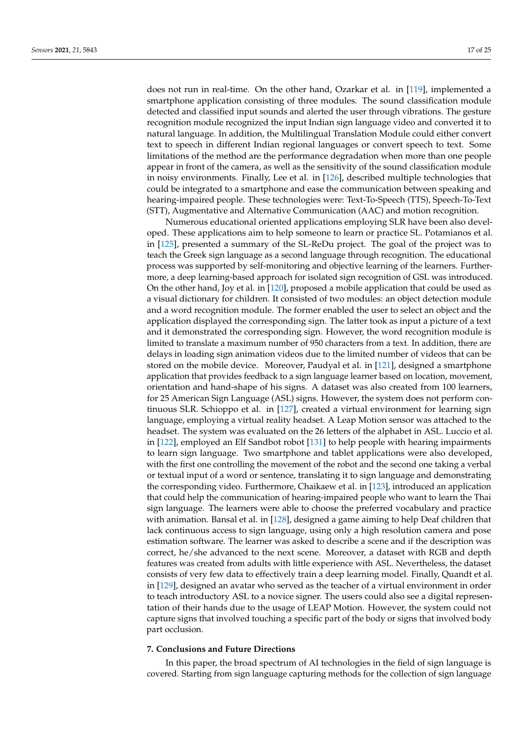does not run in real-time. On the other hand, Ozarkar et al. in [\[119\]](#page-23-16), implemented a smartphone application consisting of three modules. The sound classification module detected and classified input sounds and alerted the user through vibrations. The gesture recognition module recognized the input Indian sign language video and converted it to natural language. In addition, the Multilingual Translation Module could either convert text to speech in different Indian regional languages or convert speech to text. Some limitations of the method are the performance degradation when more than one people appear in front of the camera, as well as the sensitivity of the sound classification module in noisy environments. Finally, Lee et al. in [\[126\]](#page-23-23), described multiple technologies that could be integrated to a smartphone and ease the communication between speaking and hearing-impaired people. These technologies were: Text-To-Speech (TTS), Speech-To-Text (STT), Augmentative and Alternative Communication (AAC) and motion recognition.

Numerous educational oriented applications employing SLR have been also developed. These applications aim to help someone to learn or practice SL. Potamianos et al. in [\[125\]](#page-23-22), presented a summary of the SL-ReDu project. The goal of the project was to teach the Greek sign language as a second language through recognition. The educational process was supported by self-monitoring and objective learning of the learners. Furthermore, a deep learning-based approach for isolated sign recognition of GSL was introduced. On the other hand, Joy et al. in [\[120\]](#page-23-17), proposed a mobile application that could be used as a visual dictionary for children. It consisted of two modules: an object detection module and a word recognition module. The former enabled the user to select an object and the application displayed the corresponding sign. The latter took as input a picture of a text and it demonstrated the corresponding sign. However, the word recognition module is limited to translate a maximum number of 950 characters from a text. In addition, there are delays in loading sign animation videos due to the limited number of videos that can be stored on the mobile device. Moreover, Paudyal et al. in [\[121\]](#page-23-18), designed a smartphone application that provides feedback to a sign language learner based on location, movement, orientation and hand-shape of his signs. A dataset was also created from 100 learners, for 25 American Sign Language (ASL) signs. However, the system does not perform continuous SLR. Schioppo et al. in [\[127\]](#page-23-24), created a virtual environment for learning sign language, employing a virtual reality headset. A Leap Motion sensor was attached to the headset. The system was evaluated on the 26 letters of the alphabet in ASL. Luccio et al. in [\[122\]](#page-23-19), employed an Elf Sandbot robot [\[131\]](#page-24-3) to help people with hearing impairments to learn sign language. Two smartphone and tablet applications were also developed, with the first one controlling the movement of the robot and the second one taking a verbal or textual input of a word or sentence, translating it to sign language and demonstrating the corresponding video. Furthermore, Chaikaew et al. in [\[123\]](#page-23-20), introduced an application that could help the communication of hearing-impaired people who want to learn the Thai sign language. The learners were able to choose the preferred vocabulary and practice with animation. Bansal et al. in [\[128\]](#page-24-0), designed a game aiming to help Deaf children that lack continuous access to sign language, using only a high resolution camera and pose estimation software. The learner was asked to describe a scene and if the description was correct, he/she advanced to the next scene. Moreover, a dataset with RGB and depth features was created from adults with little experience with ASL. Nevertheless, the dataset consists of very few data to effectively train a deep learning model. Finally, Quandt et al. in [\[129\]](#page-24-1), designed an avatar who served as the teacher of a virtual environment in order to teach introductory ASL to a novice signer. The users could also see a digital representation of their hands due to the usage of LEAP Motion. However, the system could not capture signs that involved touching a specific part of the body or signs that involved body part occlusion.

#### <span id="page-16-0"></span>**7. Conclusions and Future Directions**

In this paper, the broad spectrum of AI technologies in the field of sign language is covered. Starting from sign language capturing methods for the collection of sign language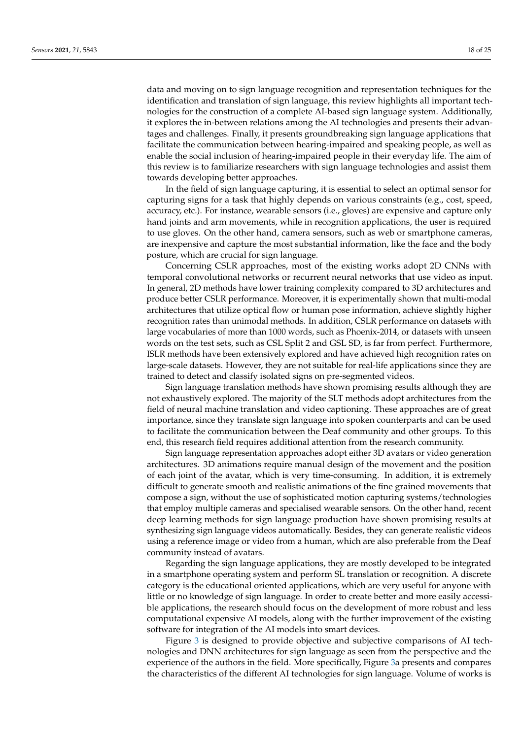data and moving on to sign language recognition and representation techniques for the identification and translation of sign language, this review highlights all important technologies for the construction of a complete AI-based sign language system. Additionally, it explores the in-between relations among the AI technologies and presents their advantages and challenges. Finally, it presents groundbreaking sign language applications that facilitate the communication between hearing-impaired and speaking people, as well as enable the social inclusion of hearing-impaired people in their everyday life. The aim of this review is to familiarize researchers with sign language technologies and assist them towards developing better approaches.

In the field of sign language capturing, it is essential to select an optimal sensor for capturing signs for a task that highly depends on various constraints (e.g., cost, speed, accuracy, etc.). For instance, wearable sensors (i.e., gloves) are expensive and capture only hand joints and arm movements, while in recognition applications, the user is required to use gloves. On the other hand, camera sensors, such as web or smartphone cameras, are inexpensive and capture the most substantial information, like the face and the body posture, which are crucial for sign language.

Concerning CSLR approaches, most of the existing works adopt 2D CNNs with temporal convolutional networks or recurrent neural networks that use video as input. In general, 2D methods have lower training complexity compared to 3D architectures and produce better CSLR performance. Moreover, it is experimentally shown that multi-modal architectures that utilize optical flow or human pose information, achieve slightly higher recognition rates than unimodal methods. In addition, CSLR performance on datasets with large vocabularies of more than 1000 words, such as Phoenix-2014, or datasets with unseen words on the test sets, such as CSL Split 2 and GSL SD, is far from perfect. Furthermore, ISLR methods have been extensively explored and have achieved high recognition rates on large-scale datasets. However, they are not suitable for real-life applications since they are trained to detect and classify isolated signs on pre-segmented videos.

Sign language translation methods have shown promising results although they are not exhaustively explored. The majority of the SLT methods adopt architectures from the field of neural machine translation and video captioning. These approaches are of great importance, since they translate sign language into spoken counterparts and can be used to facilitate the communication between the Deaf community and other groups. To this end, this research field requires additional attention from the research community.

Sign language representation approaches adopt either 3D avatars or video generation architectures. 3D animations require manual design of the movement and the position of each joint of the avatar, which is very time-consuming. In addition, it is extremely difficult to generate smooth and realistic animations of the fine grained movements that compose a sign, without the use of sophisticated motion capturing systems/technologies that employ multiple cameras and specialised wearable sensors. On the other hand, recent deep learning methods for sign language production have shown promising results at synthesizing sign language videos automatically. Besides, they can generate realistic videos using a reference image or video from a human, which are also preferable from the Deaf community instead of avatars.

Regarding the sign language applications, they are mostly developed to be integrated in a smartphone operating system and perform SL translation or recognition. A discrete category is the educational oriented applications, which are very useful for anyone with little or no knowledge of sign language. In order to create better and more easily accessible applications, the research should focus on the development of more robust and less computational expensive AI models, along with the further improvement of the existing software for integration of the AI models into smart devices.

Figure [3](#page-18-0) is designed to provide objective and subjective comparisons of AI technologies and DNN architectures for sign language as seen from the perspective and the experience of the authors in the field. More specifically, Figure [3a](#page-18-0) presents and compares the characteristics of the different AI technologies for sign language. Volume of works is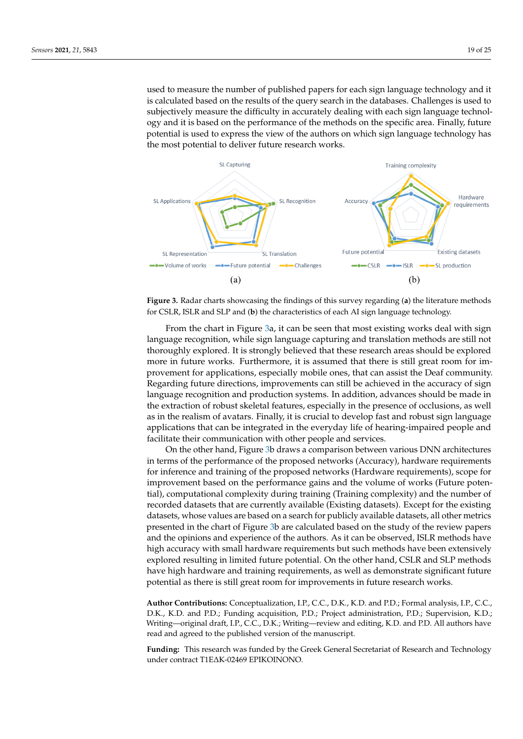used to measure the number of published papers for each sign language technology and it is calculated based on the results of the query search in the databases. Challenges is used to subjectively measure the difficulty in accurately dealing with each sign language technology and it is based on the performance of the methods on the specific area. Finally, future potential is used to express the view of the authors on which sign language technology has the most potential to deliver future research works.

<span id="page-18-0"></span>

**Figure 3.** Radar charts showcasing the findings of this survey regarding (**a**) the literature methods for CSLR, ISLR and SLP and (**b**) the characteristics of each AI sign language technology.

From the chart in Figure [3a](#page-18-0), it can be seen that most existing works deal with sign language recognition, while sign language capturing and translation methods are still not thoroughly explored. It is strongly believed that these research areas should be explored more in future works. Furthermore, it is assumed that there is still great room for improvement for applications, especially mobile ones, that can assist the Deaf community. Regarding future directions, improvements can still be achieved in the accuracy of sign language recognition and production systems. In addition, advances should be made in the extraction of robust skeletal features, especially in the presence of occlusions, as well as in the realism of avatars. Finally, it is crucial to develop fast and robust sign language applications that can be integrated in the everyday life of hearing-impaired people and facilitate their communication with other people and services.

On the other hand, Figure [3b](#page-18-0) draws a comparison between various DNN architectures in terms of the performance of the proposed networks (Accuracy), hardware requirements for inference and training of the proposed networks (Hardware requirements), scope for improvement based on the performance gains and the volume of works (Future potential), computational complexity during training (Training complexity) and the number of recorded datasets that are currently available (Existing datasets). Except for the existing datasets, whose values are based on a search for publicly available datasets, all other metrics presented in the chart of Figure [3b](#page-18-0) are calculated based on the study of the review papers and the opinions and experience of the authors. As it can be observed, ISLR methods have high accuracy with small hardware requirements but such methods have been extensively explored resulting in limited future potential. On the other hand, CSLR and SLP methods have high hardware and training requirements, as well as demonstrate significant future potential as there is still great room for improvements in future research works.

**Author Contributions:** Conceptualization, I.P., C.C., D.K., K.D. and P.D.; Formal analysis, I.P., C.C., D.K., K.D. and P.D.; Funding acquisition, P.D.; Project administration, P.D.; Supervision, K.D.; Writing—original draft, I.P., C.C., D.K.; Writing—review and editing, K.D. and P.D. All authors have read and agreed to the published version of the manuscript.

**Funding:** This research was funded by the Greek General Secretariat of Research and Technology under contract T1E∆K-02469 EPIKOINONO.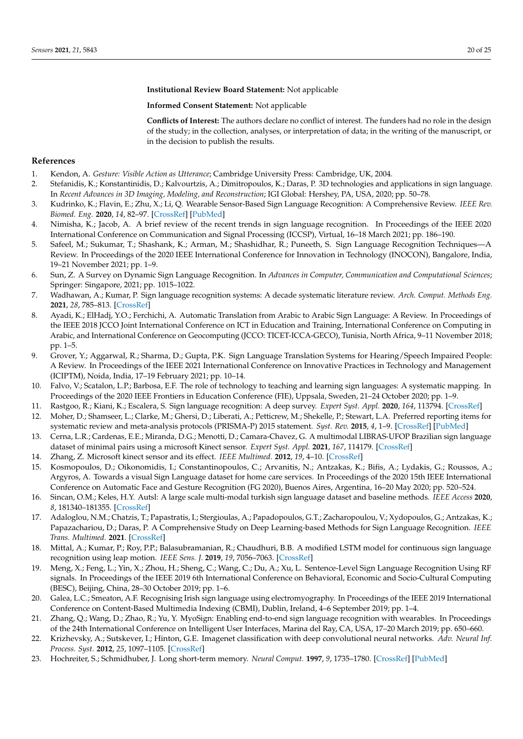**Institutional Review Board Statement:** Not applicable

**Informed Consent Statement:** Not applicable

**Conflicts of Interest:** The authors declare no conflict of interest. The funders had no role in the design of the study; in the collection, analyses, or interpretation of data; in the writing of the manuscript, or in the decision to publish the results.

#### **References**

- <span id="page-19-0"></span>1. Kendon, A. *Gesture: Visible Action as Utterance*; Cambridge University Press: Cambridge, UK, 2004.
- <span id="page-19-1"></span>2. Stefanidis, K.; Konstantinidis, D.; Kalvourtzis, A.; Dimitropoulos, K.; Daras, P. 3D technologies and applications in sign language. In *Recent Advances in 3D Imaging, Modeling, and Reconstruction*; IGI Global: Hershey, PA, USA, 2020; pp. 50–78.
- <span id="page-19-2"></span>3. Kudrinko, K.; Flavin, E.; Zhu, X.; Li, Q. Wearable Sensor-Based Sign Language Recognition: A Comprehensive Review. *IEEE Rev. Biomed. Eng.* **2020**, *14*, 82–97. [\[CrossRef\]](http://doi.org/10.1109/RBME.2020.3019769) [\[PubMed\]](http://www.ncbi.nlm.nih.gov/pubmed/32845843)
- 4. Nimisha, K.; Jacob, A. A brief review of the recent trends in sign language recognition. In Proceedings of the IEEE 2020 International Conference on Communication and Signal Processing (ICCSP), Virtual, 16–18 March 2021; pp. 186–190.
- 5. Safeel, M.; Sukumar, T.; Shashank, K.; Arman, M.; Shashidhar, R.; Puneeth, S. Sign Language Recognition Techniques—A Review. In Proceedings of the 2020 IEEE International Conference for Innovation in Technology (INOCON), Bangalore, India, 19–21 November 2021; pp. 1–9.
- 6. Sun, Z. A Survey on Dynamic Sign Language Recognition. In *Advances in Computer, Communication and Computational Sciences*; Springer: Singapore, 2021; pp. 1015–1022.
- <span id="page-19-3"></span>7. Wadhawan, A.; Kumar, P. Sign language recognition systems: A decade systematic literature review. *Arch. Comput. Methods Eng.* **2021**, *28*, 785–813. [\[CrossRef\]](http://dx.doi.org/10.1007/s11831-019-09384-2)
- <span id="page-19-4"></span>8. Ayadi, K.; ElHadj, Y.O.; Ferchichi, A. Automatic Translation from Arabic to Arabic Sign Language: A Review. In Proceedings of the IEEE 2018 JCCO Joint International Conference on ICT in Education and Training, International Conference on Computing in Arabic, and International Conference on Geocomputing (JCCO: TICET-ICCA-GECO), Tunisia, North Africa, 9–11 November 2018; pp. 1–5.
- <span id="page-19-5"></span>9. Grover, Y.; Aggarwal, R.; Sharma, D.; Gupta, P.K. Sign Language Translation Systems for Hearing/Speech Impaired People: A Review. In Proceedings of the IEEE 2021 International Conference on Innovative Practices in Technology and Management (ICIPTM), Noida, India, 17–19 February 2021; pp. 10–14.
- <span id="page-19-6"></span>10. Falvo, V.; Scatalon, L.P.; Barbosa, E.F. The role of technology to teaching and learning sign languages: A systematic mapping. In Proceedings of the 2020 IEEE Frontiers in Education Conference (FIE), Uppsala, Sweden, 21–24 October 2020; pp. 1–9.
- <span id="page-19-7"></span>11. Rastgoo, R.; Kiani, K.; Escalera, S. Sign language recognition: A deep survey. *Expert Syst. Appl.* **2020**, *164*, 113794. [\[CrossRef\]](http://dx.doi.org/10.1016/j.eswa.2020.113794)
- <span id="page-19-8"></span>12. Moher, D.; Shamseer, L.; Clarke, M.; Ghersi, D.; Liberati, A.; Petticrew, M.; Shekelle, P.; Stewart, L.A. Preferred reporting items for systematic review and meta-analysis protocols (PRISMA-P) 2015 statement. *Syst. Rev.* **2015**, *4*, 1–9. [\[CrossRef\]](http://dx.doi.org/10.1186/2046-4053-4-1) [\[PubMed\]](http://www.ncbi.nlm.nih.gov/pubmed/25554246)
- <span id="page-19-9"></span>13. Cerna, L.R.; Cardenas, E.E.; Miranda, D.G.; Menotti, D.; Camara-Chavez, G. A multimodal LIBRAS-UFOP Brazilian sign language dataset of minimal pairs using a microsoft Kinect sensor. *Expert Syst. Appl.* **2021**, *167*, 114179. [\[CrossRef\]](http://dx.doi.org/10.1016/j.eswa.2020.114179)
- <span id="page-19-10"></span>14. Zhang, Z. Microsoft kinect sensor and its effect. *IEEE Multimed.* **2012**, *19*, 4–10. [\[CrossRef\]](http://dx.doi.org/10.1109/MMUL.2012.24)
- <span id="page-19-11"></span>15. Kosmopoulos, D.; Oikonomidis, I.; Constantinopoulos, C.; Arvanitis, N.; Antzakas, K.; Bifis, A.; Lydakis, G.; Roussos, A.; Argyros, A. Towards a visual Sign Language dataset for home care services. In Proceedings of the 2020 15th IEEE International Conference on Automatic Face and Gesture Recognition (FG 2020), Buenos Aires, Argentina, 16–20 May 2020; pp. 520–524.
- <span id="page-19-12"></span>16. Sincan, O.M.; Keles, H.Y. Autsl: A large scale multi-modal turkish sign language dataset and baseline methods. *IEEE Access* **2020**, *8*, 181340–181355. [\[CrossRef\]](http://dx.doi.org/10.1109/ACCESS.2020.3028072)
- <span id="page-19-13"></span>17. Adaloglou, N.M.; Chatzis, T.; Papastratis, I.; Stergioulas, A.; Papadopoulos, G.T.; Zacharopoulou, V.; Xydopoulos, G.; Antzakas, K.; Papazachariou, D.; Daras, P. A Comprehensive Study on Deep Learning-based Methods for Sign Language Recognition. *IEEE Trans. Multimed.* **2021**. [\[CrossRef\]](http://dx.doi.org/10.1109/TMM.2021.3070438)
- <span id="page-19-14"></span>18. Mittal, A.; Kumar, P.; Roy, P.P.; Balasubramanian, R.; Chaudhuri, B.B. A modified LSTM model for continuous sign language recognition using leap motion. *IEEE Sens. J.* **2019**, *19*, 7056–7063. [\[CrossRef\]](http://dx.doi.org/10.1109/JSEN.2019.2909837)
- <span id="page-19-15"></span>19. Meng, X.; Feng, L.; Yin, X.; Zhou, H.; Sheng, C.; Wang, C.; Du, A.; Xu, L. Sentence-Level Sign Language Recognition Using RF signals. In Proceedings of the IEEE 2019 6th International Conference on Behavioral, Economic and Socio-Cultural Computing (BESC), Beijing, China, 28–30 October 2019; pp. 1–6.
- <span id="page-19-16"></span>20. Galea, L.C.; Smeaton, A.F. Recognising Irish sign language using electromyography. In Proceedings of the IEEE 2019 International Conference on Content-Based Multimedia Indexing (CBMI), Dublin, Ireland, 4–6 September 2019; pp. 1–4.
- <span id="page-19-17"></span>21. Zhang, Q.; Wang, D.; Zhao, R.; Yu, Y. MyoSign: Enabling end-to-end sign language recognition with wearables. In Proceedings of the 24th International Conference on Intelligent User Interfaces, Marina del Ray, CA, USA, 17–20 March 2019; pp. 650–660.
- <span id="page-19-18"></span>22. Krizhevsky, A.; Sutskever, I.; Hinton, G.E. Imagenet classification with deep convolutional neural networks. *Adv. Neural Inf. Process. Syst.* **2012**, *25*, 1097–1105. [\[CrossRef\]](http://dx.doi.org/10.1145/3065386)
- <span id="page-19-19"></span>23. Hochreiter, S.; Schmidhuber, J. Long short-term memory. *Neural Comput.* **1997**, *9*, 1735–1780. [\[CrossRef\]](http://dx.doi.org/10.1162/neco.1997.9.8.1735) [\[PubMed\]](http://www.ncbi.nlm.nih.gov/pubmed/9377276)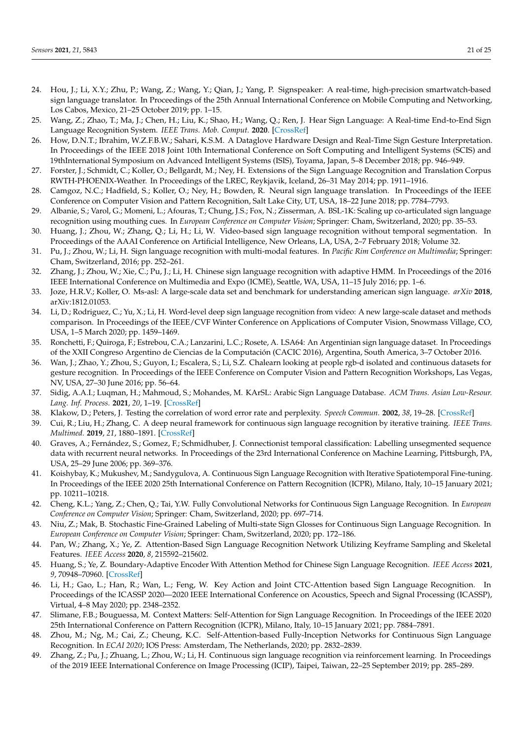- <span id="page-20-0"></span>24. Hou, J.; Li, X.Y.; Zhu, P.; Wang, Z.; Wang, Y.; Qian, J.; Yang, P. Signspeaker: A real-time, high-precision smartwatch-based sign language translator. In Proceedings of the 25th Annual International Conference on Mobile Computing and Networking, Los Cabos, Mexico, 21–25 October 2019; pp. 1–15.
- <span id="page-20-1"></span>25. Wang, Z.; Zhao, T.; Ma, J.; Chen, H.; Liu, K.; Shao, H.; Wang, Q.; Ren, J. Hear Sign Language: A Real-time End-to-End Sign Language Recognition System. *IEEE Trans. Mob. Comput.* **2020**. [\[CrossRef\]](http://dx.doi.org/10.1109/TMC.2020.3038303)
- <span id="page-20-2"></span>26. How, D.N.T.; Ibrahim, W.Z.F.B.W.; Sahari, K.S.M. A Dataglove Hardware Design and Real-Time Sign Gesture Interpretation. In Proceedings of the IEEE 2018 Joint 10th International Conference on Soft Computing and Intelligent Systems (SCIS) and 19thInternational Symposium on Advanced Intelligent Systems (ISIS), Toyama, Japan, 5–8 December 2018; pp. 946–949.
- <span id="page-20-3"></span>27. Forster, J.; Schmidt, C.; Koller, O.; Bellgardt, M.; Ney, H. Extensions of the Sign Language Recognition and Translation Corpus RWTH-PHOENIX-Weather. In Proceedings of the LREC, Reykjavik, Iceland, 26–31 May 2014; pp. 1911–1916.
- <span id="page-20-4"></span>28. Camgoz, N.C.; Hadfield, S.; Koller, O.; Ney, H.; Bowden, R. Neural sign language translation. In Proceedings of the IEEE Conference on Computer Vision and Pattern Recognition, Salt Lake City, UT, USA, 18–22 June 2018; pp. 7784–7793.
- <span id="page-20-5"></span>29. Albanie, S.; Varol, G.; Momeni, L.; Afouras, T.; Chung, J.S.; Fox, N.; Zisserman, A. BSL-1K: Scaling up co-articulated sign language recognition using mouthing cues. In *European Conference on Computer Vision*; Springer: Cham, Switzerland, 2020; pp. 35–53.
- <span id="page-20-6"></span>30. Huang, J.; Zhou, W.; Zhang, Q.; Li, H.; Li, W. Video-based sign language recognition without temporal segmentation. In Proceedings of the AAAI Conference on Artificial Intelligence, New Orleans, LA, USA, 2–7 February 2018; Volume 32.
- <span id="page-20-7"></span>31. Pu, J.; Zhou, W.; Li, H. Sign language recognition with multi-modal features. In *Pacific Rim Conference on Multimedia*; Springer: Cham, Switzerland, 2016; pp. 252–261.
- <span id="page-20-8"></span>32. Zhang, J.; Zhou, W.; Xie, C.; Pu, J.; Li, H. Chinese sign language recognition with adaptive HMM. In Proceedings of the 2016 IEEE International Conference on Multimedia and Expo (ICME), Seattle, WA, USA, 11–15 July 2016; pp. 1–6.
- <span id="page-20-9"></span>33. Joze, H.R.V.; Koller, O. Ms-asl: A large-scale data set and benchmark for understanding american sign language. *arXiv* **2018**, arXiv:1812.01053.
- <span id="page-20-10"></span>34. Li, D.; Rodriguez, C.; Yu, X.; Li, H. Word-level deep sign language recognition from video: A new large-scale dataset and methods comparison. In Proceedings of the IEEE/CVF Winter Conference on Applications of Computer Vision, Snowmass Village, CO, USA, 1–5 March 2020; pp. 1459–1469.
- <span id="page-20-11"></span>35. Ronchetti, F.; Quiroga, F.; Estrebou, C.A.; Lanzarini, L.C.; Rosete, A. LSA64: An Argentinian sign language dataset. In Proceedings of the XXII Congreso Argentino de Ciencias de la Computación (CACIC 2016), Argentina, South America, 3–7 October 2016.
- <span id="page-20-12"></span>36. Wan, J.; Zhao, Y.; Zhou, S.; Guyon, I.; Escalera, S.; Li, S.Z. Chalearn looking at people rgb-d isolated and continuous datasets for gesture recognition. In Proceedings of the IEEE Conference on Computer Vision and Pattern Recognition Workshops, Las Vegas, NV, USA, 27–30 June 2016; pp. 56–64.
- <span id="page-20-13"></span>37. Sidig, A.A.I.; Luqman, H.; Mahmoud, S.; Mohandes, M. KArSL: Arabic Sign Language Database. *ACM Trans. Asian Low-Resour. Lang. Inf. Process.* **2021**, *20*, 1–19. [\[CrossRef\]](http://dx.doi.org/10.1145/3423420)
- <span id="page-20-14"></span>38. Klakow, D.; Peters, J. Testing the correlation of word error rate and perplexity. *Speech Commun.* **2002**, *38*, 19–28. [\[CrossRef\]](http://dx.doi.org/10.1016/S0167-6393(01)00041-3)
- <span id="page-20-15"></span>39. Cui, R.; Liu, H.; Zhang, C. A deep neural framework for continuous sign language recognition by iterative training. *IEEE Trans. Multimed.* **2019**, *21*, 1880–1891. [\[CrossRef\]](http://dx.doi.org/10.1109/TMM.2018.2889563)
- <span id="page-20-16"></span>40. Graves, A.; Fernández, S.; Gomez, F.; Schmidhuber, J. Connectionist temporal classification: Labelling unsegmented sequence data with recurrent neural networks. In Proceedings of the 23rd International Conference on Machine Learning, Pittsburgh, PA, USA, 25–29 June 2006; pp. 369–376.
- <span id="page-20-17"></span>41. Koishybay, K.; Mukushev, M.; Sandygulova, A. Continuous Sign Language Recognition with Iterative Spatiotemporal Fine-tuning. In Proceedings of the IEEE 2020 25th International Conference on Pattern Recognition (ICPR), Milano, Italy, 10–15 January 2021; pp. 10211–10218.
- <span id="page-20-18"></span>42. Cheng, K.L.; Yang, Z.; Chen, Q.; Tai, Y.W. Fully Convolutional Networks for Continuous Sign Language Recognition. In *European Conference on Computer Vision*; Springer: Cham, Switzerland, 2020; pp. 697–714.
- <span id="page-20-19"></span>43. Niu, Z.; Mak, B. Stochastic Fine-Grained Labeling of Multi-state Sign Glosses for Continuous Sign Language Recognition. In *European Conference on Computer Vision*; Springer: Cham, Switzerland, 2020; pp. 172–186.
- <span id="page-20-20"></span>44. Pan, W.; Zhang, X.; Ye, Z. Attention-Based Sign Language Recognition Network Utilizing Keyframe Sampling and Skeletal Features. *IEEE Access* **2020**, *8*, 215592–215602.
- <span id="page-20-21"></span>45. Huang, S.; Ye, Z. Boundary-Adaptive Encoder With Attention Method for Chinese Sign Language Recognition. *IEEE Access* **2021**, *9*, 70948–70960. [\[CrossRef\]](http://dx.doi.org/10.1109/ACCESS.2021.3078638)
- <span id="page-20-22"></span>46. Li, H.; Gao, L.; Han, R.; Wan, L.; Feng, W. Key Action and Joint CTC-Attention based Sign Language Recognition. In Proceedings of the ICASSP 2020—2020 IEEE International Conference on Acoustics, Speech and Signal Processing (ICASSP), Virtual, 4–8 May 2020; pp. 2348–2352.
- <span id="page-20-23"></span>47. Slimane, F.B.; Bouguessa, M. Context Matters: Self-Attention for Sign Language Recognition. In Proceedings of the IEEE 2020 25th International Conference on Pattern Recognition (ICPR), Milano, Italy, 10–15 January 2021; pp. 7884–7891.
- <span id="page-20-24"></span>48. Zhou, M.; Ng, M.; Cai, Z.; Cheung, K.C. Self-Attention-based Fully-Inception Networks for Continuous Sign Language Recognition. In *ECAI 2020*; IOS Press: Amsterdam, The Netherlands, 2020; pp. 2832–2839.
- <span id="page-20-25"></span>49. Zhang, Z.; Pu, J.; Zhuang, L.; Zhou, W.; Li, H. Continuous sign language recognition via reinforcement learning. In Proceedings of the 2019 IEEE International Conference on Image Processing (ICIP), Taipei, Taiwan, 22–25 September 2019; pp. 285–289.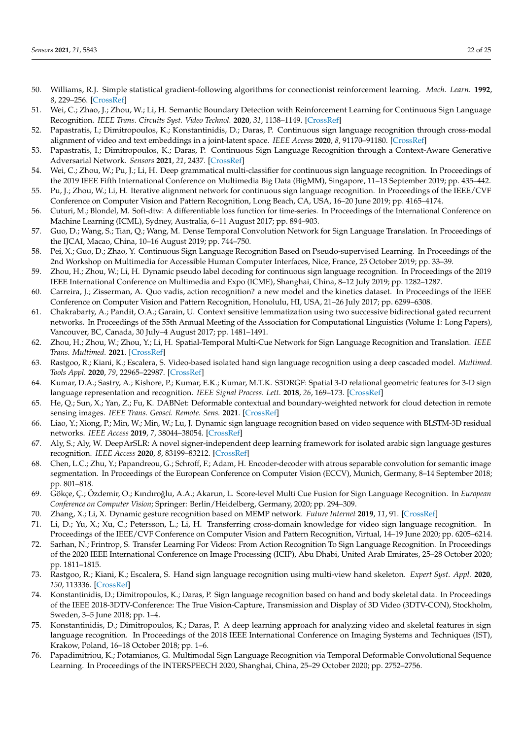- <span id="page-21-0"></span>50. Williams, R.J. Simple statistical gradient-following algorithms for connectionist reinforcement learning. *Mach. Learn.* **1992**, *8*, 229–256. [\[CrossRef\]](http://dx.doi.org/10.1007/BF00992696)
- <span id="page-21-1"></span>51. Wei, C.; Zhao, J.; Zhou, W.; Li, H. Semantic Boundary Detection with Reinforcement Learning for Continuous Sign Language Recognition. *IEEE Trans. Circuits Syst. Video Technol.* **2020**, *31*, 1138–1149. [\[CrossRef\]](http://dx.doi.org/10.1109/TCSVT.2020.2999384)
- <span id="page-21-2"></span>52. Papastratis, I.; Dimitropoulos, K.; Konstantinidis, D.; Daras, P. Continuous sign language recognition through cross-modal alignment of video and text embeddings in a joint-latent space. *IEEE Access* **2020**, *8*, 91170–91180. [\[CrossRef\]](http://dx.doi.org/10.1109/ACCESS.2020.2993650)
- <span id="page-21-3"></span>53. Papastratis, I.; Dimitropoulos, K.; Daras, P. Continuous Sign Language Recognition through a Context-Aware Generative Adversarial Network. *Sensors* **2021**, *21*, 2437. [\[CrossRef\]](http://dx.doi.org/10.3390/s21072437)
- <span id="page-21-4"></span>54. Wei, C.; Zhou, W.; Pu, J.; Li, H. Deep grammatical multi-classifier for continuous sign language recognition. In Proceedings of the 2019 IEEE Fifth International Conference on Multimedia Big Data (BigMM), Singapore, 11–13 September 2019; pp. 435–442.
- <span id="page-21-5"></span>55. Pu, J.; Zhou, W.; Li, H. Iterative alignment network for continuous sign language recognition. In Proceedings of the IEEE/CVF Conference on Computer Vision and Pattern Recognition, Long Beach, CA, USA, 16–20 June 2019; pp. 4165–4174.
- <span id="page-21-6"></span>56. Cuturi, M.; Blondel, M. Soft-dtw: A differentiable loss function for time-series. In Proceedings of the International Conference on Machine Learning (ICML), Sydney, Australia, 6–11 August 2017; pp. 894–903.
- <span id="page-21-7"></span>57. Guo, D.; Wang, S.; Tian, Q.; Wang, M. Dense Temporal Convolution Network for Sign Language Translation. In Proceedings of the IJCAI, Macao, China, 10–16 August 2019; pp. 744–750.
- <span id="page-21-8"></span>58. Pei, X.; Guo, D.; Zhao, Y. Continuous Sign Language Recognition Based on Pseudo-supervised Learning. In Proceedings of the 2nd Workshop on Multimedia for Accessible Human Computer Interfaces, Nice, France, 25 October 2019; pp. 33–39.
- <span id="page-21-9"></span>59. Zhou, H.; Zhou, W.; Li, H. Dynamic pseudo label decoding for continuous sign language recognition. In Proceedings of the 2019 IEEE International Conference on Multimedia and Expo (ICME), Shanghai, China, 8–12 July 2019; pp. 1282–1287.
- <span id="page-21-10"></span>60. Carreira, J.; Zisserman, A. Quo vadis, action recognition? a new model and the kinetics dataset. In Proceedings of the IEEE Conference on Computer Vision and Pattern Recognition, Honolulu, HI, USA, 21–26 July 2017; pp. 6299–6308.
- <span id="page-21-11"></span>61. Chakrabarty, A.; Pandit, O.A.; Garain, U. Context sensitive lemmatization using two successive bidirectional gated recurrent networks. In Proceedings of the 55th Annual Meeting of the Association for Computational Linguistics (Volume 1: Long Papers), Vancouver, BC, Canada, 30 July–4 August 2017; pp. 1481–1491.
- <span id="page-21-12"></span>62. Zhou, H.; Zhou, W.; Zhou, Y.; Li, H. Spatial-Temporal Multi-Cue Network for Sign Language Recognition and Translation. *IEEE Trans. Multimed.* **2021**. [\[CrossRef\]](http://dx.doi.org/10.1109/TMM.2021.3059098)
- <span id="page-21-13"></span>63. Rastgoo, R.; Kiani, K.; Escalera, S. Video-based isolated hand sign language recognition using a deep cascaded model. *Multimed. Tools Appl.* **2020**, *79*, 22965–22987. [\[CrossRef\]](http://dx.doi.org/10.1007/s11042-020-09048-5)
- <span id="page-21-26"></span>64. Kumar, D.A.; Sastry, A.; Kishore, P.; Kumar, E.K.; Kumar, M.T.K. S3DRGF: Spatial 3-D relational geometric features for 3-D sign language representation and recognition. *IEEE Signal Process. Lett.* **2018**, *26*, 169–173. [\[CrossRef\]](http://dx.doi.org/10.1109/LSP.2018.2883864)
- <span id="page-21-14"></span>65. He, Q.; Sun, X.; Yan, Z.; Fu, K. DABNet: Deformable contextual and boundary-weighted network for cloud detection in remote sensing images. *IEEE Trans. Geosci. Remote. Sens.* **2021**. [\[CrossRef\]](http://dx.doi.org/10.1109/TGRS.2020.3045474)
- <span id="page-21-15"></span>66. Liao, Y.; Xiong, P.; Min, W.; Min, W.; Lu, J. Dynamic sign language recognition based on video sequence with BLSTM-3D residual networks. *IEEE Access* **2019**, *7*, 38044–38054. [\[CrossRef\]](http://dx.doi.org/10.1109/ACCESS.2019.2904749)
- <span id="page-21-16"></span>67. Aly, S.; Aly, W. DeepArSLR: A novel signer-independent deep learning framework for isolated arabic sign language gestures recognition. *IEEE Access* **2020**, *8*, 83199–83212. [\[CrossRef\]](http://dx.doi.org/10.1109/ACCESS.2020.2990699)
- <span id="page-21-17"></span>68. Chen, L.C.; Zhu, Y.; Papandreou, G.; Schroff, F.; Adam, H. Encoder-decoder with atrous separable convolution for semantic image segmentation. In Proceedings of the European Conference on Computer Vision (ECCV), Munich, Germany, 8–14 September 2018; pp. 801–818.
- <span id="page-21-18"></span>69. Gökçe, Ç.; Özdemir, O.; Kındıro ˘glu, A.A.; Akarun, L. Score-level Multi Cue Fusion for Sign Language Recognition. In *European Conference on Computer Vision*; Springer: Berlin/Heidelberg, Germany, 2020; pp. 294–309.
- <span id="page-21-19"></span>70. Zhang, X.; Li, X. Dynamic gesture recognition based on MEMP network. *Future Internet* **2019**, *11*, 91. [\[CrossRef\]](http://dx.doi.org/10.3390/fi11040091)
- <span id="page-21-20"></span>71. Li, D.; Yu, X.; Xu, C.; Petersson, L.; Li, H. Transferring cross-domain knowledge for video sign language recognition. In Proceedings of the IEEE/CVF Conference on Computer Vision and Pattern Recognition, Virtual, 14–19 June 2020; pp. 6205–6214.
- <span id="page-21-21"></span>72. Sarhan, N.; Frintrop, S. Transfer Learning For Videos: From Action Recognition To Sign Language Recognition. In Proceedings of the 2020 IEEE International Conference on Image Processing (ICIP), Abu Dhabi, United Arab Emirates, 25–28 October 2020; pp. 1811–1815.
- <span id="page-21-22"></span>73. Rastgoo, R.; Kiani, K.; Escalera, S. Hand sign language recognition using multi-view hand skeleton. *Expert Syst. Appl.* **2020**, *150*, 113336. [\[CrossRef\]](http://dx.doi.org/10.1016/j.eswa.2020.113336)
- <span id="page-21-23"></span>74. Konstantinidis, D.; Dimitropoulos, K.; Daras, P. Sign language recognition based on hand and body skeletal data. In Proceedings of the IEEE 2018-3DTV-Conference: The True Vision-Capture, Transmission and Display of 3D Video (3DTV-CON), Stockholm, Sweden, 3–5 June 2018; pp. 1–4.
- <span id="page-21-24"></span>75. Konstantinidis, D.; Dimitropoulos, K.; Daras, P. A deep learning approach for analyzing video and skeletal features in sign language recognition. In Proceedings of the 2018 IEEE International Conference on Imaging Systems and Techniques (IST), Krakow, Poland, 16–18 October 2018; pp. 1–6.
- <span id="page-21-25"></span>76. Papadimitriou, K.; Potamianos, G. Multimodal Sign Language Recognition via Temporal Deformable Convolutional Sequence Learning. In Proceedings of the INTERSPEECH 2020, Shanghai, China, 25–29 October 2020; pp. 2752–2756.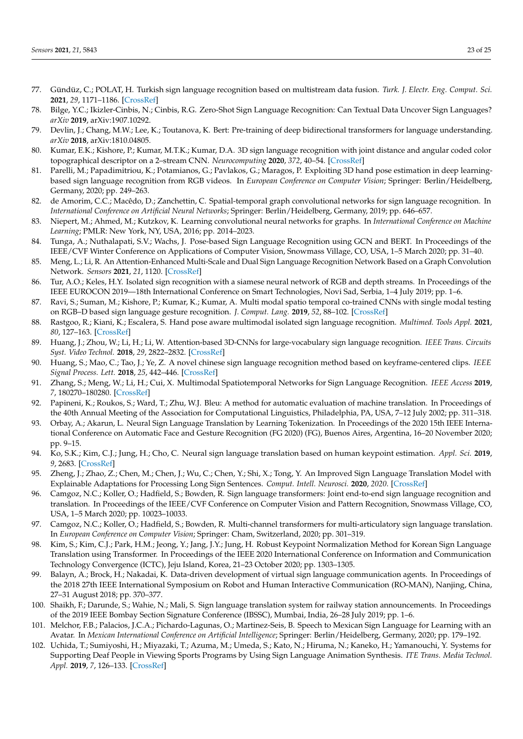- <span id="page-22-0"></span>77. Gündüz, C.; POLAT, H. Turkish sign language recognition based on multistream data fusion. *Turk. J. Electr. Eng. Comput. Sci.* **2021**, *29*, 1171–1186. [\[CrossRef\]](http://dx.doi.org/10.3906/elk-2005-156)
- <span id="page-22-1"></span>78. Bilge, Y.C.; Ikizler-Cinbis, N.; Cinbis, R.G. Zero-Shot Sign Language Recognition: Can Textual Data Uncover Sign Languages? *arXiv* **2019**, arXiv:1907.10292.
- <span id="page-22-2"></span>79. Devlin, J.; Chang, M.W.; Lee, K.; Toutanova, K. Bert: Pre-training of deep bidirectional transformers for language understanding. *arXiv* **2018**, arXiv:1810.04805.
- <span id="page-22-3"></span>80. Kumar, E.K.; Kishore, P.; Kumar, M.T.K.; Kumar, D.A. 3D sign language recognition with joint distance and angular coded color topographical descriptor on a 2–stream CNN. *Neurocomputing* **2020**, *372*, 40–54. [\[CrossRef\]](http://dx.doi.org/10.1016/j.neucom.2019.09.059)
- <span id="page-22-4"></span>81. Parelli, M.; Papadimitriou, K.; Potamianos, G.; Pavlakos, G.; Maragos, P. Exploiting 3D hand pose estimation in deep learningbased sign language recognition from RGB videos. In *European Conference on Computer Vision*; Springer: Berlin/Heidelberg, Germany, 2020; pp. 249–263.
- <span id="page-22-5"></span>82. de Amorim, C.C.; Macêdo, D.; Zanchettin, C. Spatial-temporal graph convolutional networks for sign language recognition. In *International Conference on Artificial Neural Networks*; Springer: Berlin/Heidelberg, Germany, 2019; pp. 646–657.
- <span id="page-22-6"></span>83. Niepert, M.; Ahmed, M.; Kutzkov, K. Learning convolutional neural networks for graphs. In *International Conference on Machine Learning*; PMLR: New York, NY, USA, 2016; pp. 2014–2023.
- <span id="page-22-7"></span>84. Tunga, A.; Nuthalapati, S.V.; Wachs, J. Pose-based Sign Language Recognition using GCN and BERT. In Proceedings of the IEEE/CVF Winter Conference on Applications of Computer Vision, Snowmass Village, CO, USA, 1–5 March 2020; pp. 31–40.
- <span id="page-22-8"></span>85. Meng, L.; Li, R. An Attention-Enhanced Multi-Scale and Dual Sign Language Recognition Network Based on a Graph Convolution Network. *Sensors* **2021**, *21*, 1120. [\[CrossRef\]](http://dx.doi.org/10.3390/s21041120)
- <span id="page-22-9"></span>86. Tur, A.O.; Keles, H.Y. Isolated sign recognition with a siamese neural network of RGB and depth streams. In Proceedings of the IEEE EUROCON 2019—18th International Conference on Smart Technologies, Novi Sad, Serbia, 1–4 July 2019; pp. 1–6.
- <span id="page-22-10"></span>87. Ravi, S.; Suman, M.; Kishore, P.; Kumar, K.; Kumar, A. Multi modal spatio temporal co-trained CNNs with single modal testing on RGB–D based sign language gesture recognition. *J. Comput. Lang.* **2019**, *52*, 88–102. [\[CrossRef\]](http://dx.doi.org/10.1016/j.cola.2019.04.002)
- <span id="page-22-11"></span>88. Rastgoo, R.; Kiani, K.; Escalera, S. Hand pose aware multimodal isolated sign language recognition. *Multimed. Tools Appl.* **2021**, *80*, 127–163. [\[CrossRef\]](http://dx.doi.org/10.1007/s11042-020-09700-0)
- <span id="page-22-12"></span>89. Huang, J.; Zhou, W.; Li, H.; Li, W. Attention-based 3D-CNNs for large-vocabulary sign language recognition. *IEEE Trans. Circuits Syst. Video Technol.* **2018**, *29*, 2822–2832. [\[CrossRef\]](http://dx.doi.org/10.1109/TCSVT.2018.2870740)
- <span id="page-22-13"></span>90. Huang, S.; Mao, C.; Tao, J.; Ye, Z. A novel chinese sign language recognition method based on keyframe-centered clips. *IEEE Signal Process. Lett.* **2018**, *25*, 442–446. [\[CrossRef\]](http://dx.doi.org/10.1109/LSP.2018.2797228)
- <span id="page-22-14"></span>91. Zhang, S.; Meng, W.; Li, H.; Cui, X. Multimodal Spatiotemporal Networks for Sign Language Recognition. *IEEE Access* **2019**, *7*, 180270–180280. [\[CrossRef\]](http://dx.doi.org/10.1109/ACCESS.2019.2959206)
- <span id="page-22-15"></span>92. Papineni, K.; Roukos, S.; Ward, T.; Zhu, W.J. Bleu: A method for automatic evaluation of machine translation. In Proceedings of the 40th Annual Meeting of the Association for Computational Linguistics, Philadelphia, PA, USA, 7–12 July 2002; pp. 311–318.
- <span id="page-22-16"></span>93. Orbay, A.; Akarun, L. Neural Sign Language Translation by Learning Tokenization. In Proceedings of the 2020 15th IEEE International Conference on Automatic Face and Gesture Recognition (FG 2020) (FG), Buenos Aires, Argentina, 16–20 November 2020; pp. 9–15.
- <span id="page-22-17"></span>94. Ko, S.K.; Kim, C.J.; Jung, H.; Cho, C. Neural sign language translation based on human keypoint estimation. *Appl. Sci.* **2019**, *9*, 2683. [\[CrossRef\]](http://dx.doi.org/10.3390/app9132683)
- <span id="page-22-18"></span>95. Zheng, J.; Zhao, Z.; Chen, M.; Chen, J.; Wu, C.; Chen, Y.; Shi, X.; Tong, Y. An Improved Sign Language Translation Model with Explainable Adaptations for Processing Long Sign Sentences. *Comput. Intell. Neurosci.* **2020**, *2020*. [\[CrossRef\]](http://dx.doi.org/10.1155/2020/8816125)
- <span id="page-22-19"></span>96. Camgoz, N.C.; Koller, O.; Hadfield, S.; Bowden, R. Sign language transformers: Joint end-to-end sign language recognition and translation. In Proceedings of the IEEE/CVF Conference on Computer Vision and Pattern Recognition, Snowmass Village, CO, USA, 1–5 March 2020; pp. 10023–10033.
- <span id="page-22-20"></span>97. Camgoz, N.C.; Koller, O.; Hadfield, S.; Bowden, R. Multi-channel transformers for multi-articulatory sign language translation. In *European Conference on Computer Vision*; Springer: Cham, Switzerland, 2020; pp. 301–319.
- <span id="page-22-21"></span>98. Kim, S.; Kim, C.J.; Park, H.M.; Jeong, Y.; Jang, J.Y.; Jung, H. Robust Keypoint Normalization Method for Korean Sign Language Translation using Transformer. In Proceedings of the IEEE 2020 International Conference on Information and Communication Technology Convergence (ICTC), Jeju Island, Korea, 21–23 October 2020; pp. 1303–1305.
- <span id="page-22-22"></span>99. Balayn, A.; Brock, H.; Nakadai, K. Data-driven development of virtual sign language communication agents. In Proceedings of the 2018 27th IEEE International Symposium on Robot and Human Interactive Communication (RO-MAN), Nanjing, China, 27–31 August 2018; pp. 370–377.
- <span id="page-22-23"></span>100. Shaikh, F.; Darunde, S.; Wahie, N.; Mali, S. Sign language translation system for railway station announcements. In Proceedings of the 2019 IEEE Bombay Section Signature Conference (IBSSC), Mumbai, India, 26–28 July 2019; pp. 1–6.
- <span id="page-22-24"></span>101. Melchor, F.B.; Palacios, J.C.A.; Pichardo-Lagunas, O.; Martinez-Seis, B. Speech to Mexican Sign Language for Learning with an Avatar. In *Mexican International Conference on Artificial Intelligence*; Springer: Berlin/Heidelberg, Germany, 2020; pp. 179–192.
- <span id="page-22-25"></span>102. Uchida, T.; Sumiyoshi, H.; Miyazaki, T.; Azuma, M.; Umeda, S.; Kato, N.; Hiruma, N.; Kaneko, H.; Yamanouchi, Y. Systems for Supporting Deaf People in Viewing Sports Programs by Using Sign Language Animation Synthesis. *ITE Trans. Media Technol. Appl.* **2019**, *7*, 126–133. [\[CrossRef\]](http://dx.doi.org/10.3169/mta.7.126)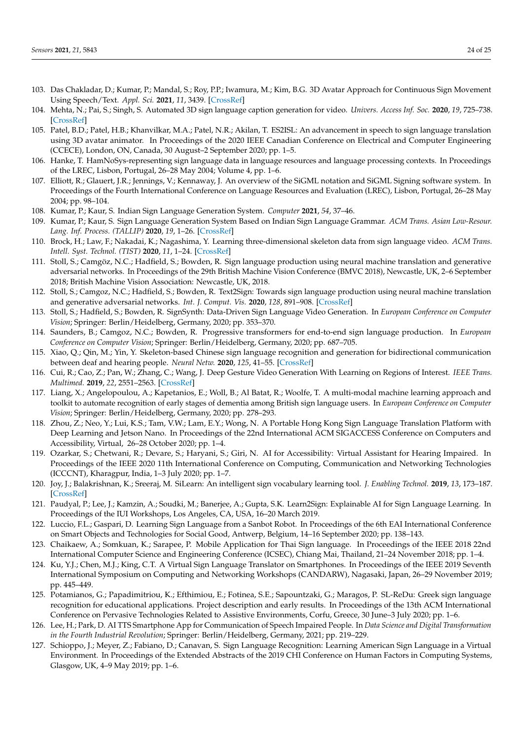- <span id="page-23-0"></span>103. Das Chakladar, D.; Kumar, P.; Mandal, S.; Roy, P.P.; Iwamura, M.; Kim, B.G. 3D Avatar Approach for Continuous Sign Movement Using Speech/Text. *Appl. Sci.* **2021**, *11*, 3439. [\[CrossRef\]](http://dx.doi.org/10.3390/app11083439)
- <span id="page-23-1"></span>104. Mehta, N.; Pai, S.; Singh, S. Automated 3D sign language caption generation for video. *Univers. Access Inf. Soc.* **2020**, *19*, 725–738. [\[CrossRef\]](http://dx.doi.org/10.1007/s10209-019-00668-9)
- <span id="page-23-2"></span>105. Patel, B.D.; Patel, H.B.; Khanvilkar, M.A.; Patel, N.R.; Akilan, T. ES2ISL: An advancement in speech to sign language translation using 3D avatar animator. In Proceedings of the 2020 IEEE Canadian Conference on Electrical and Computer Engineering (CCECE), London, ON, Canada, 30 August–2 September 2020; pp. 1–5.
- <span id="page-23-3"></span>106. Hanke, T. HamNoSys-representing sign language data in language resources and language processing contexts. In Proceedings of the LREC, Lisbon, Portugal, 26–28 May 2004; Volume 4, pp. 1–6.
- <span id="page-23-4"></span>107. Elliott, R.; Glauert, J.R.; Jennings, V.; Kennaway, J. An overview of the SiGML notation and SiGML Signing software system. In Proceedings of the Fourth International Conference on Language Resources and Evaluation (LREC), Lisbon, Portugal, 26–28 May 2004; pp. 98–104.
- <span id="page-23-5"></span>108. Kumar, P.; Kaur, S. Indian Sign Language Generation System. *Computer* **2021**, *54*, 37–46.
- <span id="page-23-6"></span>109. Kumar, P.; Kaur, S. Sign Language Generation System Based on Indian Sign Language Grammar. *ACM Trans. Asian Low-Resour. Lang. Inf. Process. (TALLIP)* **2020**, *19*, 1–26. [\[CrossRef\]](http://dx.doi.org/10.1145/3387632)
- <span id="page-23-7"></span>110. Brock, H.; Law, F.; Nakadai, K.; Nagashima, Y. Learning three-dimensional skeleton data from sign language video. *ACM Trans. Intell. Syst. Technol. (TIST)* **2020**, *11*, 1–24. [\[CrossRef\]](http://dx.doi.org/10.1145/3377552)
- <span id="page-23-8"></span>111. Stoll, S.; Camgöz, N.C.; Hadfield, S.; Bowden, R. Sign language production using neural machine translation and generative adversarial networks. In Proceedings of the 29th British Machine Vision Conference (BMVC 2018), Newcastle, UK, 2–6 September 2018; British Machine Vision Association: Newcastle, UK, 2018.
- <span id="page-23-9"></span>112. Stoll, S.; Camgoz, N.C.; Hadfield, S.; Bowden, R. Text2Sign: Towards sign language production using neural machine translation and generative adversarial networks. *Int. J. Comput. Vis.* **2020**, *128*, 891–908. [\[CrossRef\]](http://dx.doi.org/10.1007/s11263-019-01281-2)
- <span id="page-23-10"></span>113. Stoll, S.; Hadfield, S.; Bowden, R. SignSynth: Data-Driven Sign Language Video Generation. In *European Conference on Computer Vision*; Springer: Berlin/Heidelberg, Germany, 2020; pp. 353–370.
- <span id="page-23-11"></span>114. Saunders, B.; Camgoz, N.C.; Bowden, R. Progressive transformers for end-to-end sign language production. In *European Conference on Computer Vision*; Springer: Berlin/Heidelberg, Germany, 2020; pp. 687–705.
- <span id="page-23-12"></span>115. Xiao, Q.; Qin, M.; Yin, Y. Skeleton-based Chinese sign language recognition and generation for bidirectional communication between deaf and hearing people. *Neural Netw.* **2020**, *125*, 41–55. [\[CrossRef\]](http://dx.doi.org/10.1016/j.neunet.2020.01.030)
- <span id="page-23-13"></span>116. Cui, R.; Cao, Z.; Pan, W.; Zhang, C.; Wang, J. Deep Gesture Video Generation With Learning on Regions of Interest. *IEEE Trans. Multimed.* **2019**, *22*, 2551–2563. [\[CrossRef\]](http://dx.doi.org/10.1109/TMM.2019.2960700)
- <span id="page-23-14"></span>117. Liang, X.; Angelopoulou, A.; Kapetanios, E.; Woll, B.; Al Batat, R.; Woolfe, T. A multi-modal machine learning approach and toolkit to automate recognition of early stages of dementia among British sign language users. In *European Conference on Computer Vision*; Springer: Berlin/Heidelberg, Germany, 2020; pp. 278–293.
- <span id="page-23-15"></span>118. Zhou, Z.; Neo, Y.; Lui, K.S.; Tam, V.W.; Lam, E.Y.; Wong, N. A Portable Hong Kong Sign Language Translation Platform with Deep Learning and Jetson Nano. In Proceedings of the 22nd International ACM SIGACCESS Conference on Computers and Accessibility, Virtual, 26–28 October 2020; pp. 1–4.
- <span id="page-23-16"></span>119. Ozarkar, S.; Chetwani, R.; Devare, S.; Haryani, S.; Giri, N. AI for Accessibility: Virtual Assistant for Hearing Impaired. In Proceedings of the IEEE 2020 11th International Conference on Computing, Communication and Networking Technologies (ICCCNT), Kharagpur, India, 1–3 July 2020; pp. 1–7.
- <span id="page-23-17"></span>120. Joy, J.; Balakrishnan, K.; Sreeraj, M. SiLearn: An intelligent sign vocabulary learning tool. *J. Enabling Technol.* **2019**, *13*, 173–187. [\[CrossRef\]](http://dx.doi.org/10.1108/JET-03-2019-0014)
- <span id="page-23-18"></span>121. Paudyal, P.; Lee, J.; Kamzin, A.; Soudki, M.; Banerjee, A.; Gupta, S.K. Learn2Sign: Explainable AI for Sign Language Learning. In Proceedings of the IUI Workshops, Los Angeles, CA, USA, 16–20 March 2019.
- <span id="page-23-19"></span>122. Luccio, F.L.; Gaspari, D. Learning Sign Language from a Sanbot Robot. In Proceedings of the 6th EAI International Conference on Smart Objects and Technologies for Social Good, Antwerp, Belgium, 14–16 September 2020; pp. 138–143.
- <span id="page-23-20"></span>123. Chaikaew, A.; Somkuan, K.; Sarapee, P. Mobile Application for Thai Sign language. In Proceedings of the IEEE 2018 22nd International Computer Science and Engineering Conference (ICSEC), Chiang Mai, Thailand, 21–24 November 2018; pp. 1–4.
- <span id="page-23-21"></span>124. Ku, Y.J.; Chen, M.J.; King, C.T. A Virtual Sign Language Translator on Smartphones. In Proceedings of the IEEE 2019 Seventh International Symposium on Computing and Networking Workshops (CANDARW), Nagasaki, Japan, 26–29 November 2019; pp. 445–449.
- <span id="page-23-22"></span>125. Potamianos, G.; Papadimitriou, K.; Efthimiou, E.; Fotinea, S.E.; Sapountzaki, G.; Maragos, P. SL-ReDu: Greek sign language recognition for educational applications. Project description and early results. In Proceedings of the 13th ACM International Conference on Pervasive Technologies Related to Assistive Environments, Corfu, Greece, 30 June–3 July 2020; pp. 1–6.
- <span id="page-23-23"></span>126. Lee, H.; Park, D. AI TTS Smartphone App for Communication of Speech Impaired People. In *Data Science and Digital Transformation in the Fourth Industrial Revolution*; Springer: Berlin/Heidelberg, Germany, 2021; pp. 219–229.
- <span id="page-23-24"></span>127. Schioppo, J.; Meyer, Z.; Fabiano, D.; Canavan, S. Sign Language Recognition: Learning American Sign Language in a Virtual Environment. In Proceedings of the Extended Abstracts of the 2019 CHI Conference on Human Factors in Computing Systems, Glasgow, UK, 4–9 May 2019; pp. 1–6.